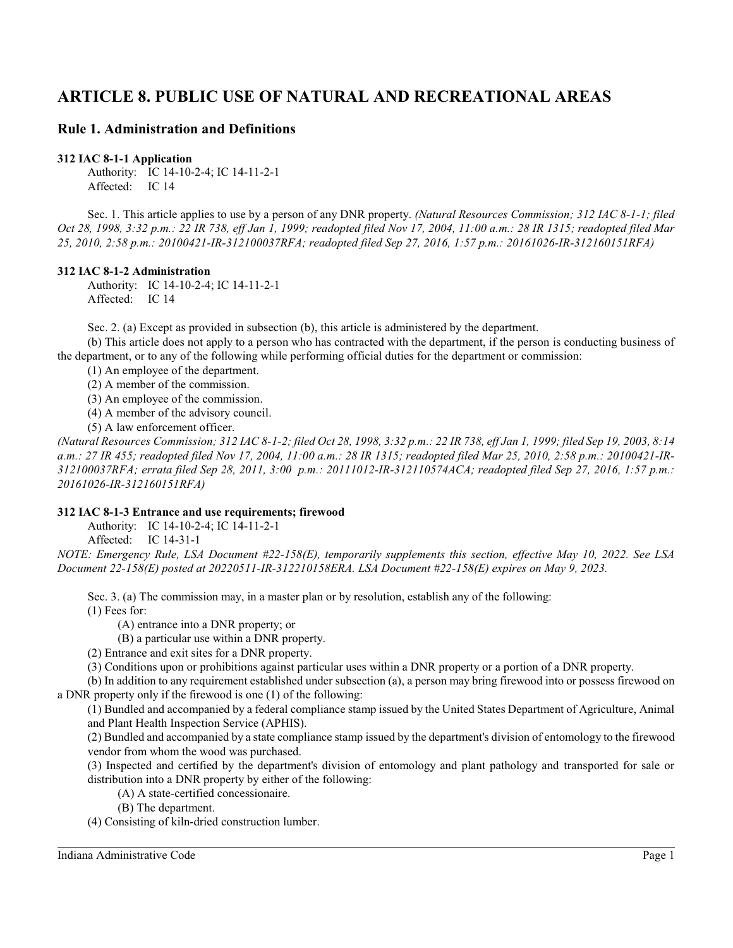# **ARTICLE 8. PUBLIC USE OF NATURAL AND RECREATIONAL AREAS**

# **Rule 1. Administration and Definitions**

**312 IAC 8-1-1 Application**

Authority: IC 14-10-2-4; IC 14-11-2-1 Affected: IC 14

Sec. 1. This article applies to use by a person of any DNR property. *(Natural Resources Commission; 312 IAC 8-1-1; filed Oct 28, 1998, 3:32 p.m.: 22 IR 738, eff Jan 1, 1999; readopted filed Nov 17, 2004, 11:00 a.m.: 28 IR 1315; readopted filed Mar 25, 2010, 2:58 p.m.: 20100421-IR-312100037RFA; readopted filed Sep 27, 2016, 1:57 p.m.: 20161026-IR-312160151RFA)*

#### **312 IAC 8-1-2 Administration**

Authority: IC 14-10-2-4; IC 14-11-2-1 Affected: IC 14

Sec. 2. (a) Except as provided in subsection (b), this article is administered by the department.

(b) This article does not apply to a person who has contracted with the department, if the person is conducting business of the department, or to any of the following while performing official duties for the department or commission:

(1) An employee of the department.

(2) A member of the commission.

(3) An employee of the commission.

(4) A member of the advisory council.

(5) A law enforcement officer.

*(Natural Resources Commission; 312 IAC 8-1-2; filed Oct 28, 1998, 3:32 p.m.: 22 IR 738, eff Jan 1, 1999; filed Sep 19, 2003, 8:14 a.m.: 27 IR 455; readopted filed Nov 17, 2004, 11:00 a.m.: 28 IR 1315; readopted filed Mar 25, 2010, 2:58 p.m.: 20100421-IR-312100037RFA; errata filed Sep 28, 2011, 3:00 p.m.: 20111012-IR-312110574ACA; readopted filed Sep 27, 2016, 1:57 p.m.: 20161026-IR-312160151RFA)*

### **312 IAC 8-1-3 Entrance and use requirements; firewood**

Authority: IC 14-10-2-4; IC 14-11-2-1

Affected: IC 14-31-1

*NOTE: Emergency Rule, LSA Document #22-158(E), temporarily supplements this section, effective May 10, 2022. See LSA Document 22-158(E) posted at 20220511-IR-312210158ERA. LSA Document #22-158(E) expires on May 9, 2023.*

Sec. 3. (a) The commission may, in a master plan or by resolution, establish any of the following: (1) Fees for:

(A) entrance into a DNR property; or

(B) a particular use within a DNR property.

(2) Entrance and exit sites for a DNR property.

(3) Conditions upon or prohibitions against particular uses within a DNR property or a portion of a DNR property.

(b) In addition to any requirement established under subsection (a), a person may bring firewood into or possess firewood on a DNR property only if the firewood is one (1) of the following:

(1) Bundled and accompanied by a federal compliance stamp issued by the United States Department of Agriculture, Animal and Plant Health Inspection Service (APHIS).

(2) Bundled and accompanied by a state compliance stamp issued by the department's division of entomology to the firewood vendor from whom the wood was purchased.

(3) Inspected and certified by the department's division of entomology and plant pathology and transported for sale or distribution into a DNR property by either of the following:

(A) A state-certified concessionaire.

(B) The department.

(4) Consisting of kiln-dried construction lumber.

Indiana Administrative Code Page 1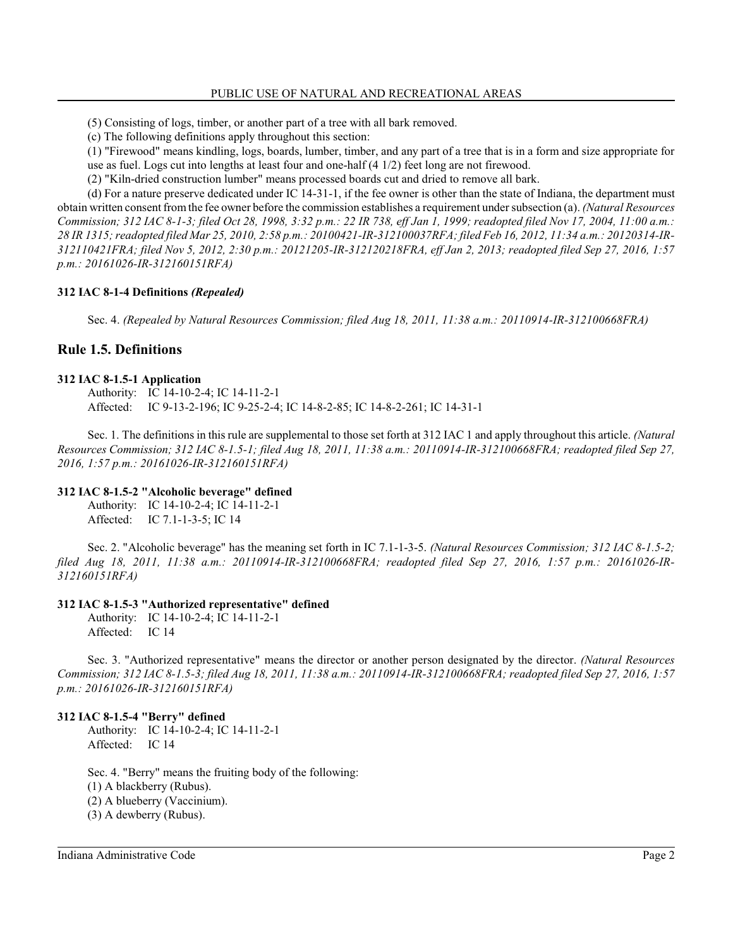(5) Consisting of logs, timber, or another part of a tree with all bark removed.

(c) The following definitions apply throughout this section:

(1) "Firewood" means kindling, logs, boards, lumber, timber, and any part of a tree that is in a form and size appropriate for use as fuel. Logs cut into lengths at least four and one-half (4 1/2) feet long are not firewood.

(2) "Kiln-dried construction lumber" means processed boards cut and dried to remove all bark.

(d) For a nature preserve dedicated under IC 14-31-1, if the fee owner is other than the state of Indiana, the department must obtain written consent fromthe fee owner before the commission establishes a requirement undersubsection (a). *(Natural Resources Commission; 312 IAC 8-1-3; filed Oct 28, 1998, 3:32 p.m.: 22 IR 738, eff Jan 1, 1999; readopted filed Nov 17, 2004, 11:00 a.m.: 28 IR 1315; readopted filed Mar 25, 2010, 2:58 p.m.: 20100421-IR-312100037RFA; filed Feb 16, 2012, 11:34 a.m.: 20120314-IR-312110421FRA; filed Nov 5, 2012, 2:30 p.m.: 20121205-IR-312120218FRA, eff Jan 2, 2013; readopted filed Sep 27, 2016, 1:57 p.m.: 20161026-IR-312160151RFA)*

# **312 IAC 8-1-4 Definitions** *(Repealed)*

Sec. 4. *(Repealed by Natural Resources Commission; filed Aug 18, 2011, 11:38 a.m.: 20110914-IR-312100668FRA)*

# **Rule 1.5. Definitions**

# **312 IAC 8-1.5-1 Application**

Authority: IC 14-10-2-4; IC 14-11-2-1 Affected: IC 9-13-2-196; IC 9-25-2-4; IC 14-8-2-85; IC 14-8-2-261; IC 14-31-1

Sec. 1. The definitions in this rule are supplemental to those set forth at 312 IAC 1 and apply throughout this article. *(Natural*) *Resources Commission; 312 IAC 8-1.5-1; filed Aug 18, 2011, 11:38 a.m.: 20110914-IR-312100668FRA; readopted filed Sep 27, 2016, 1:57 p.m.: 20161026-IR-312160151RFA)*

# **312 IAC 8-1.5-2 "Alcoholic beverage" defined**

Authority: IC 14-10-2-4; IC 14-11-2-1 Affected: IC 7.1-1-3-5; IC 14

Sec. 2. "Alcoholic beverage" has the meaning set forth in IC 7.1-1-3-5. *(Natural Resources Commission; 312 IAC 8-1.5-2; filed Aug 18, 2011, 11:38 a.m.: 20110914-IR-312100668FRA; readopted filed Sep 27, 2016, 1:57 p.m.: 20161026-IR-312160151RFA)*

# **312 IAC 8-1.5-3 "Authorized representative" defined**

Authority: IC 14-10-2-4; IC 14-11-2-1 Affected: IC 14

Sec. 3. "Authorized representative" means the director or another person designated by the director. *(Natural Resources Commission; 312 IAC 8-1.5-3; filed Aug 18, 2011, 11:38 a.m.: 20110914-IR-312100668FRA; readopted filed Sep 27, 2016, 1:57 p.m.: 20161026-IR-312160151RFA)*

# **312 IAC 8-1.5-4 "Berry" defined**

Authority: IC 14-10-2-4; IC 14-11-2-1 Affected: IC 14

Sec. 4. "Berry" means the fruiting body of the following:

(1) A blackberry (Rubus).

(2) A blueberry (Vaccinium).

(3) A dewberry (Rubus).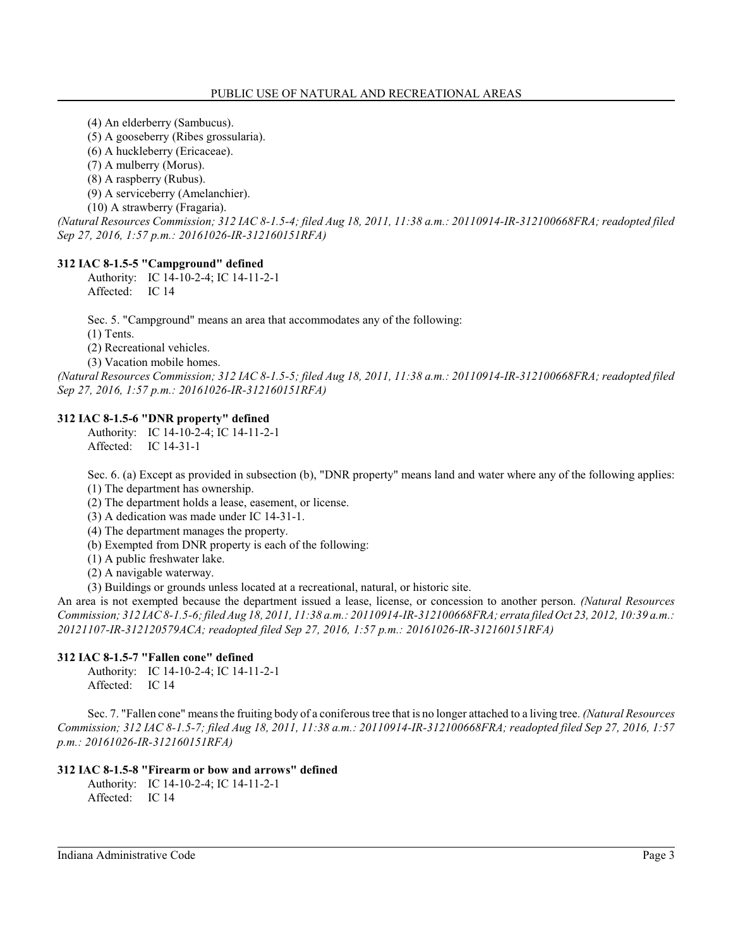(4) An elderberry (Sambucus).

(5) A gooseberry (Ribes grossularia).

(6) A huckleberry (Ericaceae).

(7) A mulberry (Morus).

(8) A raspberry (Rubus).

(9) A serviceberry (Amelanchier).

(10) A strawberry (Fragaria).

*(Natural Resources Commission; 312 IAC 8-1.5-4; filed Aug 18, 2011, 11:38 a.m.: 20110914-IR-312100668FRA; readopted filed Sep 27, 2016, 1:57 p.m.: 20161026-IR-312160151RFA)*

# **312 IAC 8-1.5-5 "Campground" defined**

Authority: IC 14-10-2-4; IC 14-11-2-1 Affected: IC 14

Sec. 5. "Campground" means an area that accommodates any of the following:

(1) Tents.

(2) Recreational vehicles.

(3) Vacation mobile homes.

*(Natural Resources Commission; 312 IAC 8-1.5-5; filed Aug 18, 2011, 11:38 a.m.: 20110914-IR-312100668FRA; readopted filed Sep 27, 2016, 1:57 p.m.: 20161026-IR-312160151RFA)*

# **312 IAC 8-1.5-6 "DNR property" defined**

Authority: IC 14-10-2-4; IC 14-11-2-1 Affected: IC 14-31-1

Sec. 6. (a) Except as provided in subsection (b), "DNR property" means land and water where any of the following applies: (1) The department has ownership.

(2) The department holds a lease, easement, or license.

(3) A dedication was made under IC 14-31-1.

(4) The department manages the property.

(b) Exempted from DNR property is each of the following:

(1) A public freshwater lake.

(2) A navigable waterway.

(3) Buildings or grounds unless located at a recreational, natural, or historic site.

An area is not exempted because the department issued a lease, license, or concession to another person. *(Natural Resources Commission; 312 IAC 8-1.5-6; filed Aug 18, 2011, 11:38 a.m.: 20110914-IR-312100668FRA; errata filed Oct 23, 2012, 10:39 a.m.: 20121107-IR-312120579ACA; readopted filed Sep 27, 2016, 1:57 p.m.: 20161026-IR-312160151RFA)*

# **312 IAC 8-1.5-7 "Fallen cone" defined**

Authority: IC 14-10-2-4; IC 14-11-2-1 Affected: IC 14

Sec. 7. "Fallen cone" means the fruiting body of a coniferous tree that is no longer attached to a living tree. *(Natural Resources Commission; 312 IAC 8-1.5-7; filed Aug 18, 2011, 11:38 a.m.: 20110914-IR-312100668FRA; readopted filed Sep 27, 2016, 1:57 p.m.: 20161026-IR-312160151RFA)*

# **312 IAC 8-1.5-8 "Firearm or bow and arrows" defined**

Authority: IC 14-10-2-4; IC 14-11-2-1 Affected: IC 14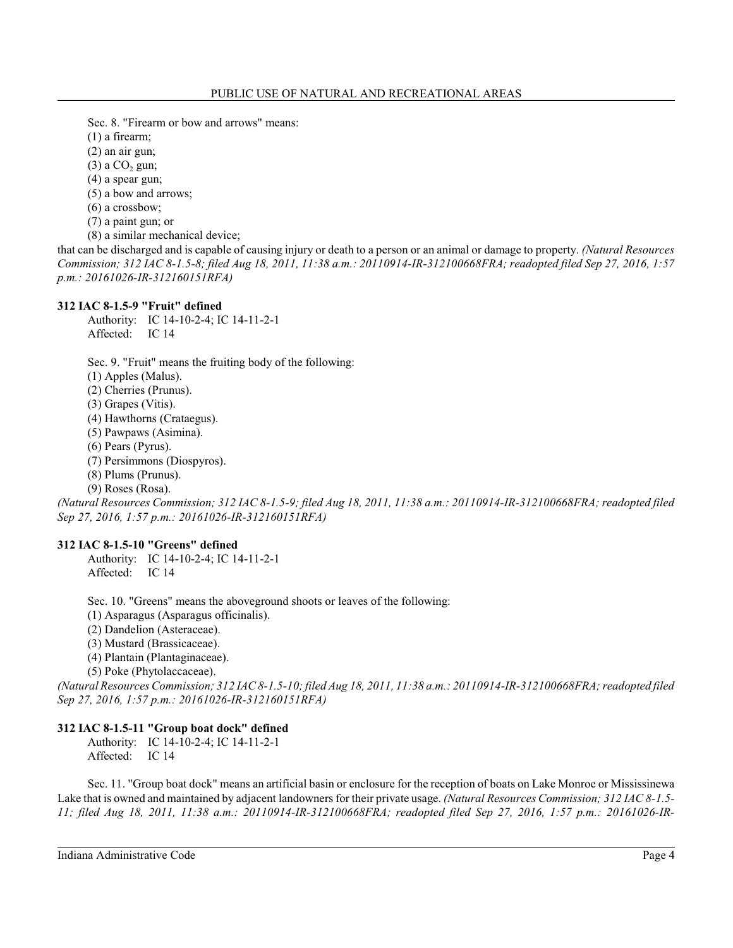Sec. 8. "Firearm or bow and arrows" means:

(1) a firearm;

(2) an air gun;

 $(3)$  a  $CO<sub>2</sub>$  gun;

(4) a spear gun;

(5) a bow and arrows;

(6) a crossbow;

(7) a paint gun; or

(8) a similar mechanical device;

that can be discharged and is capable of causing injury or death to a person or an animal or damage to property. *(Natural Resources Commission; 312 IAC 8-1.5-8; filed Aug 18, 2011, 11:38 a.m.: 20110914-IR-312100668FRA; readopted filed Sep 27, 2016, 1:57 p.m.: 20161026-IR-312160151RFA)*

# **312 IAC 8-1.5-9 "Fruit" defined**

Authority: IC 14-10-2-4; IC 14-11-2-1 Affected: IC 14

Sec. 9. "Fruit" means the fruiting body of the following:

(1) Apples (Malus).

(2) Cherries (Prunus).

(3) Grapes (Vitis).

(4) Hawthorns (Crataegus).

(5) Pawpaws (Asimina).

(6) Pears (Pyrus).

(7) Persimmons (Diospyros).

(8) Plums (Prunus).

(9) Roses (Rosa).

*(Natural Resources Commission; 312 IAC 8-1.5-9; filed Aug 18, 2011, 11:38 a.m.: 20110914-IR-312100668FRA; readopted filed Sep 27, 2016, 1:57 p.m.: 20161026-IR-312160151RFA)*

### **312 IAC 8-1.5-10 "Greens" defined**

Authority: IC 14-10-2-4; IC 14-11-2-1 Affected: IC 14

Sec. 10. "Greens" means the aboveground shoots or leaves of the following:

(1) Asparagus (Asparagus officinalis).

(2) Dandelion (Asteraceae).

(3) Mustard (Brassicaceae).

(4) Plantain (Plantaginaceae).

(5) Poke (Phytolaccaceae).

*(Natural Resources Commission; 312 IAC 8-1.5-10; filed Aug 18, 2011, 11:38 a.m.: 20110914-IR-312100668FRA; readopted filed Sep 27, 2016, 1:57 p.m.: 20161026-IR-312160151RFA)*

# **312 IAC 8-1.5-11 "Group boat dock" defined**

Authority: IC 14-10-2-4; IC 14-11-2-1 Affected: IC 14

Sec. 11. "Group boat dock" means an artificial basin or enclosure for the reception of boats on Lake Monroe or Mississinewa Lake that is owned and maintained by adjacent landowners for their private usage. *(Natural Resources Commission; 312 IAC 8-1.5- 11; filed Aug 18, 2011, 11:38 a.m.: 20110914-IR-312100668FRA; readopted filed Sep 27, 2016, 1:57 p.m.: 20161026-IR-*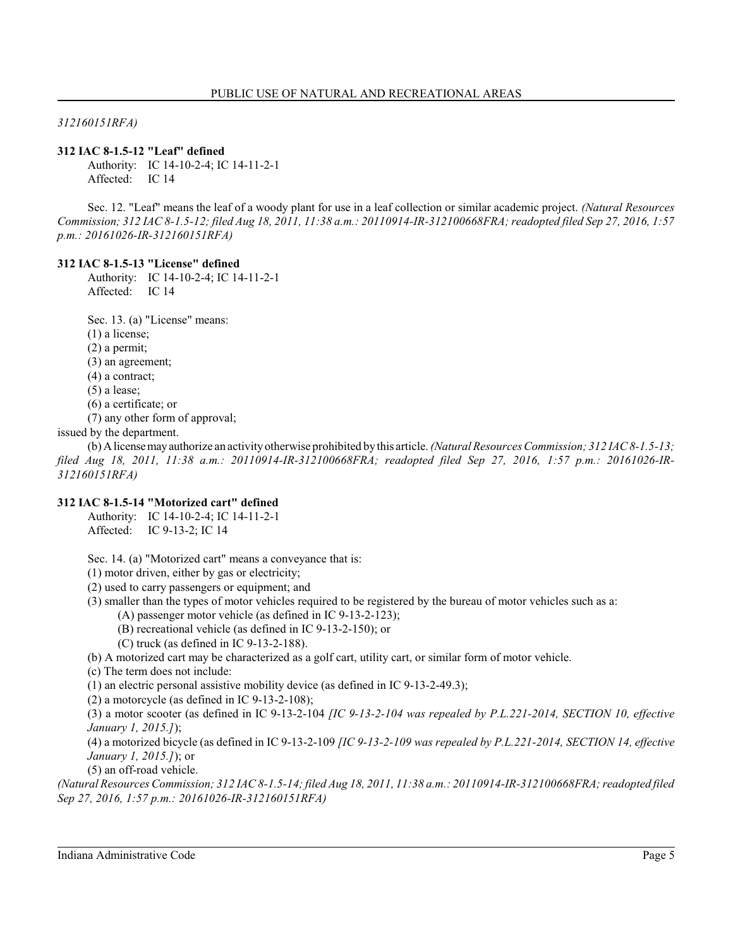*312160151RFA)*

### **312 IAC 8-1.5-12 "Leaf" defined**

Authority: IC 14-10-2-4; IC 14-11-2-1 Affected: IC 14

Sec. 12. "Leaf" means the leaf of a woody plant for use in a leaf collection or similar academic project. *(Natural Resources Commission; 312 IAC 8-1.5-12; filed Aug 18, 2011, 11:38 a.m.: 20110914-IR-312100668FRA; readopted filed Sep 27, 2016, 1:57 p.m.: 20161026-IR-312160151RFA)*

#### **312 IAC 8-1.5-13 "License" defined**

Authority: IC 14-10-2-4; IC 14-11-2-1 Affected: IC 14

Sec. 13. (a) "License" means:

(1) a license;

(2) a permit;

(3) an agreement;

(4) a contract;

(5) a lease;

(6) a certificate; or

(7) any other form of approval;

issued by the department.

(b) Alicensemayauthorize an activityotherwise prohibited by this article. *(Natural Resources Commission; 312 IAC 8-1.5-13; filed Aug 18, 2011, 11:38 a.m.: 20110914-IR-312100668FRA; readopted filed Sep 27, 2016, 1:57 p.m.: 20161026-IR-312160151RFA)*

### **312 IAC 8-1.5-14 "Motorized cart" defined**

Authority: IC 14-10-2-4; IC 14-11-2-1 Affected: IC 9-13-2; IC 14

Sec. 14. (a) "Motorized cart" means a conveyance that is:

(1) motor driven, either by gas or electricity;

(2) used to carry passengers or equipment; and

(3) smaller than the types of motor vehicles required to be registered by the bureau of motor vehicles such as a:

(A) passenger motor vehicle (as defined in IC 9-13-2-123);

(B) recreational vehicle (as defined in IC 9-13-2-150); or

(C) truck (as defined in IC 9-13-2-188).

(b) A motorized cart may be characterized as a golf cart, utility cart, or similar form of motor vehicle.

(c) The term does not include:

(1) an electric personal assistive mobility device (as defined in IC 9-13-2-49.3);

(2) a motorcycle (as defined in IC 9-13-2-108);

(3) a motor scooter (as defined in IC 9-13-2-104 *[IC 9-13-2-104 was repealed by P.L.221-2014, SECTION 10, effective January 1, 2015.]*);

(4) a motorized bicycle (as defined in IC 9-13-2-109 *[IC 9-13-2-109 was repealed by P.L.221-2014, SECTION 14, effective January 1, 2015.]*); or

(5) an off-road vehicle.

*(Natural Resources Commission; 312 IAC 8-1.5-14; filed Aug 18, 2011, 11:38 a.m.: 20110914-IR-312100668FRA; readopted filed Sep 27, 2016, 1:57 p.m.: 20161026-IR-312160151RFA)*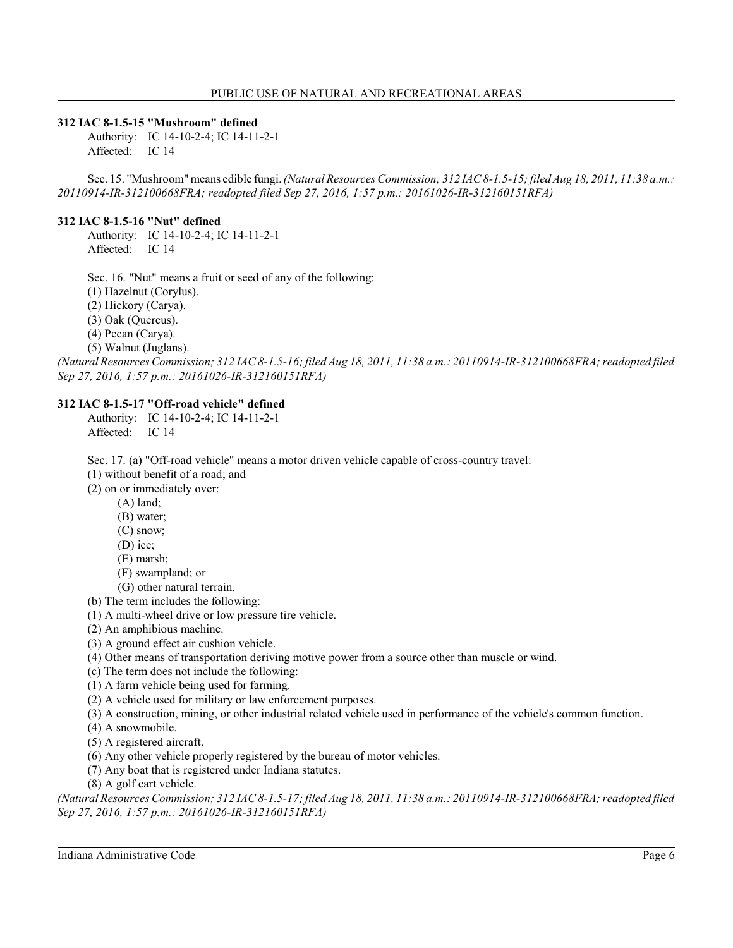### **312 IAC 8-1.5-15 "Mushroom" defined**

Authority: IC 14-10-2-4; IC 14-11-2-1 Affected: IC 14

Sec. 15. "Mushroom" means edible fungi. *(Natural Resources Commission; 312 IAC 8-1.5-15;filed Aug 18, 2011, 11:38 a.m.: 20110914-IR-312100668FRA; readopted filed Sep 27, 2016, 1:57 p.m.: 20161026-IR-312160151RFA)*

#### **312 IAC 8-1.5-16 "Nut" defined**

Authority: IC 14-10-2-4; IC 14-11-2-1 Affected: IC 14

Sec. 16. "Nut" means a fruit or seed of any of the following:

(1) Hazelnut (Corylus).

(2) Hickory (Carya).

(3) Oak (Quercus).

(4) Pecan (Carya).

(5) Walnut (Juglans).

*(Natural Resources Commission; 312 IAC 8-1.5-16; filed Aug 18, 2011, 11:38 a.m.: 20110914-IR-312100668FRA; readopted filed Sep 27, 2016, 1:57 p.m.: 20161026-IR-312160151RFA)*

### **312 IAC 8-1.5-17 "Off-road vehicle" defined**

Authority: IC 14-10-2-4; IC 14-11-2-1 Affected: IC 14

Sec. 17. (a) "Off-road vehicle" means a motor driven vehicle capable of cross-country travel:

(1) without benefit of a road; and

(2) on or immediately over:

- (A) land;
	- (B) water;
	- (C) snow;
	- (D) ice;
	- (E) marsh;
- (F) swampland; or
- (G) other natural terrain.
- (b) The term includes the following:
- (1) A multi-wheel drive or low pressure tire vehicle.

(2) An amphibious machine.

- (3) A ground effect air cushion vehicle.
- (4) Other means of transportation deriving motive power from a source other than muscle or wind.
- (c) The term does not include the following:
- (1) A farm vehicle being used for farming.
- (2) A vehicle used for military or law enforcement purposes.
- (3) A construction, mining, or other industrial related vehicle used in performance of the vehicle's common function.
- (4) A snowmobile.
- (5) A registered aircraft.
- (6) Any other vehicle properly registered by the bureau of motor vehicles.
- (7) Any boat that is registered under Indiana statutes.
- (8) A golf cart vehicle.

*(Natural Resources Commission; 312 IAC 8-1.5-17; filed Aug 18, 2011, 11:38 a.m.: 20110914-IR-312100668FRA; readopted filed Sep 27, 2016, 1:57 p.m.: 20161026-IR-312160151RFA)*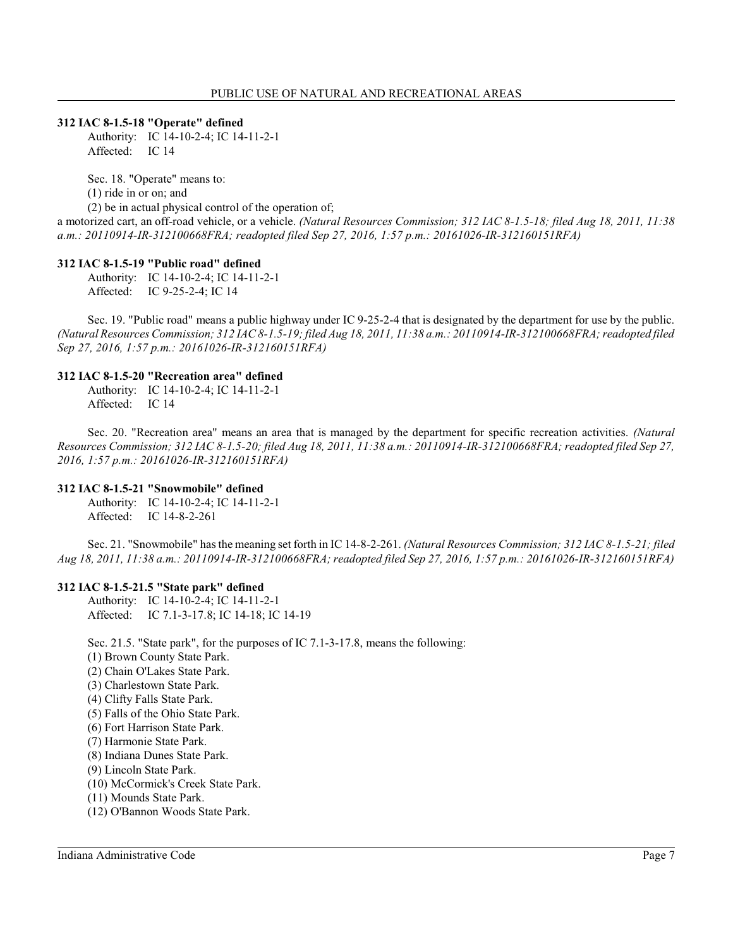#### **312 IAC 8-1.5-18 "Operate" defined**

Authority: IC 14-10-2-4; IC 14-11-2-1 Affected: IC 14

Sec. 18. "Operate" means to: (1) ride in or on; and (2) be in actual physical control of the operation of; a motorized cart, an off-road vehicle, or a vehicle. *(Natural Resources Commission; 312 IAC 8-1.5-18; filed Aug 18, 2011, 11:38 a.m.: 20110914-IR-312100668FRA; readopted filed Sep 27, 2016, 1:57 p.m.: 20161026-IR-312160151RFA)*

### **312 IAC 8-1.5-19 "Public road" defined**

Authority: IC 14-10-2-4; IC 14-11-2-1 Affected: IC 9-25-2-4; IC 14

Sec. 19. "Public road" means a public highway under IC 9-25-2-4 that is designated by the department for use by the public. *(Natural Resources Commission; 312 IAC 8-1.5-19; filed Aug 18, 2011, 11:38 a.m.: 20110914-IR-312100668FRA; readopted filed Sep 27, 2016, 1:57 p.m.: 20161026-IR-312160151RFA)*

### **312 IAC 8-1.5-20 "Recreation area" defined**

Authority: IC 14-10-2-4; IC 14-11-2-1 Affected: IC 14

Sec. 20. "Recreation area" means an area that is managed by the department for specific recreation activities. *(Natural Resources Commission; 312 IAC 8-1.5-20; filed Aug 18, 2011, 11:38 a.m.: 20110914-IR-312100668FRA; readopted filed Sep 27, 2016, 1:57 p.m.: 20161026-IR-312160151RFA)*

### **312 IAC 8-1.5-21 "Snowmobile" defined**

Authority: IC 14-10-2-4; IC 14-11-2-1 Affected: IC 14-8-2-261

Sec. 21. "Snowmobile" has the meaning set forth in IC 14-8-2-261. *(Natural Resources Commission; 312 IAC 8-1.5-21; filed Aug 18, 2011, 11:38 a.m.: 20110914-IR-312100668FRA; readopted filed Sep 27, 2016, 1:57 p.m.: 20161026-IR-312160151RFA)*

### **312 IAC 8-1.5-21.5 "State park" defined**

Authority: IC 14-10-2-4; IC 14-11-2-1 Affected: IC 7.1-3-17.8; IC 14-18; IC 14-19

Sec. 21.5. "State park", for the purposes of IC 7.1-3-17.8, means the following:

- (1) Brown County State Park.
- (2) Chain O'Lakes State Park.
- (3) Charlestown State Park.
- (4) Clifty Falls State Park.
- (5) Falls of the Ohio State Park.
- (6) Fort Harrison State Park.
- (7) Harmonie State Park.
- (8) Indiana Dunes State Park.
- (9) Lincoln State Park.
- (10) McCormick's Creek State Park.
- (11) Mounds State Park.
- (12) O'Bannon Woods State Park.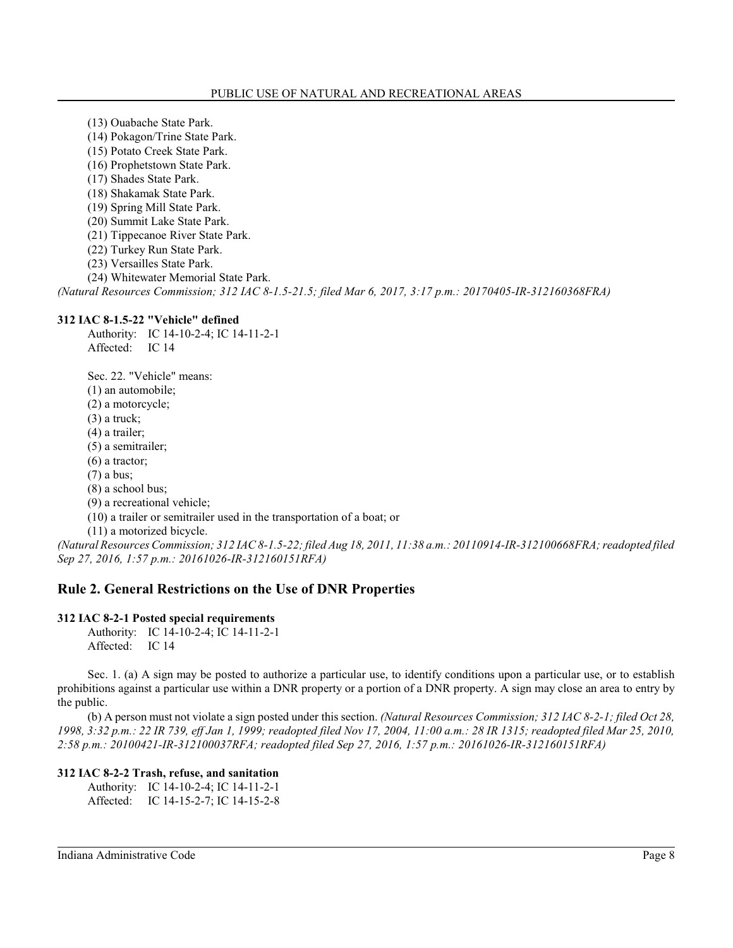- (13) Ouabache State Park.
- (14) Pokagon/Trine State Park.
- (15) Potato Creek State Park.
- (16) Prophetstown State Park.
- (17) Shades State Park.
- (18) Shakamak State Park.
- (19) Spring Mill State Park.
- (20) Summit Lake State Park.
- (21) Tippecanoe River State Park.
- (22) Turkey Run State Park.
- (23) Versailles State Park.
- (24) Whitewater Memorial State Park.

*(Natural Resources Commission; 312 IAC 8-1.5-21.5; filed Mar 6, 2017, 3:17 p.m.: 20170405-IR-312160368FRA)*

# **312 IAC 8-1.5-22 "Vehicle" defined**

Authority: IC 14-10-2-4; IC 14-11-2-1 Affected: IC 14

Sec. 22. "Vehicle" means: (1) an automobile; (2) a motorcycle; (3) a truck; (4) a trailer; (5) a semitrailer; (6) a tractor; (7) a bus; (8) a school bus; (9) a recreational vehicle; (10) a trailer or semitrailer used in the transportation of a boat; or (11) a motorized bicycle.

*(Natural Resources Commission; 312 IAC 8-1.5-22; filed Aug 18, 2011, 11:38 a.m.: 20110914-IR-312100668FRA; readopted filed Sep 27, 2016, 1:57 p.m.: 20161026-IR-312160151RFA)*

# **Rule 2. General Restrictions on the Use of DNR Properties**

# **312 IAC 8-2-1 Posted special requirements**

Authority: IC 14-10-2-4; IC 14-11-2-1 Affected: IC 14

Sec. 1. (a) A sign may be posted to authorize a particular use, to identify conditions upon a particular use, or to establish prohibitions against a particular use within a DNR property or a portion of a DNR property. A sign may close an area to entry by the public.

(b) A person must not violate a sign posted under this section. *(Natural Resources Commission; 312 IAC 8-2-1; filed Oct 28, 1998, 3:32 p.m.: 22 IR 739, eff Jan 1, 1999; readopted filed Nov 17, 2004, 11:00 a.m.: 28 IR 1315; readopted filed Mar 25, 2010, 2:58 p.m.: 20100421-IR-312100037RFA; readopted filed Sep 27, 2016, 1:57 p.m.: 20161026-IR-312160151RFA)*

# **312 IAC 8-2-2 Trash, refuse, and sanitation**

Authority: IC 14-10-2-4; IC 14-11-2-1 Affected: IC 14-15-2-7; IC 14-15-2-8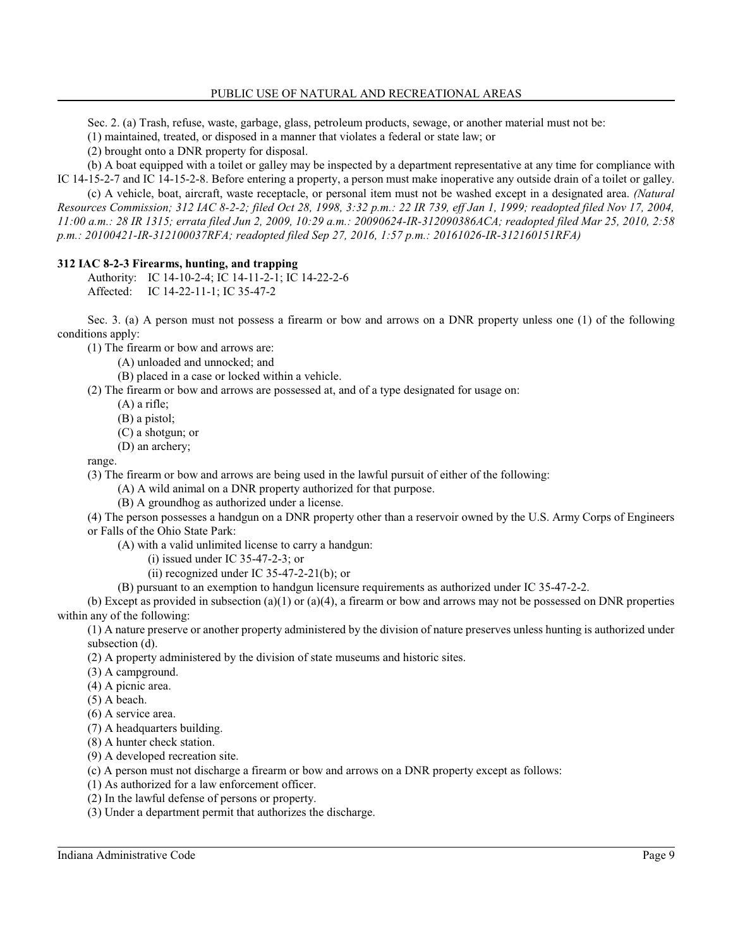Sec. 2. (a) Trash, refuse, waste, garbage, glass, petroleum products, sewage, or another material must not be:

(1) maintained, treated, or disposed in a manner that violates a federal or state law; or

(2) brought onto a DNR property for disposal.

(b) A boat equipped with a toilet or galley may be inspected by a department representative at any time for compliance with IC 14-15-2-7 and IC 14-15-2-8. Before entering a property, a person must make inoperative any outside drain of a toilet or galley.

(c) A vehicle, boat, aircraft, waste receptacle, or personal item must not be washed except in a designated area. *(Natural Resources Commission; 312 IAC 8-2-2; filed Oct 28, 1998, 3:32 p.m.: 22 IR 739, eff Jan 1, 1999; readopted filed Nov 17, 2004, 11:00 a.m.: 28 IR 1315; errata filed Jun 2, 2009, 10:29 a.m.: 20090624-IR-312090386ACA; readopted filed Mar 25, 2010, 2:58 p.m.: 20100421-IR-312100037RFA; readopted filed Sep 27, 2016, 1:57 p.m.: 20161026-IR-312160151RFA)*

# **312 IAC 8-2-3 Firearms, hunting, and trapping**

Authority: IC 14-10-2-4; IC 14-11-2-1; IC 14-22-2-6 Affected: IC 14-22-11-1; IC 35-47-2

Sec. 3. (a) A person must not possess a firearm or bow and arrows on a DNR property unless one (1) of the following conditions apply:

(1) The firearm or bow and arrows are:

(A) unloaded and unnocked; and

(B) placed in a case or locked within a vehicle.

(2) The firearm or bow and arrows are possessed at, and of a type designated for usage on:

- (A) a rifle;
	- (B) a pistol;
	- (C) a shotgun; or
	- (D) an archery;

range.

(3) The firearm or bow and arrows are being used in the lawful pursuit of either of the following:

(A) A wild animal on a DNR property authorized for that purpose.

(B) A groundhog as authorized under a license.

(4) The person possesses a handgun on a DNR property other than a reservoir owned by the U.S. Army Corps of Engineers or Falls of the Ohio State Park:

- (A) with a valid unlimited license to carry a handgun:
	- (i) issued under IC 35-47-2-3; or
	- (ii) recognized under IC 35-47-2-21(b); or

(B) pursuant to an exemption to handgun licensure requirements as authorized under IC 35-47-2-2.

(b) Except as provided in subsection (a)(1) or (a)(4), a firearm or bow and arrows may not be possessed on DNR properties within any of the following:

(1) A nature preserve or another property administered by the division of nature preserves unless hunting is authorized under subsection (d).

(2) A property administered by the division of state museums and historic sites.

- (3) A campground.
- (4) A picnic area.

(5) A beach.

- (6) A service area.
- (7) A headquarters building.
- (8) A hunter check station.
- (9) A developed recreation site.

(c) A person must not discharge a firearm or bow and arrows on a DNR property except as follows:

- (1) As authorized for a law enforcement officer.
- (2) In the lawful defense of persons or property.
- (3) Under a department permit that authorizes the discharge.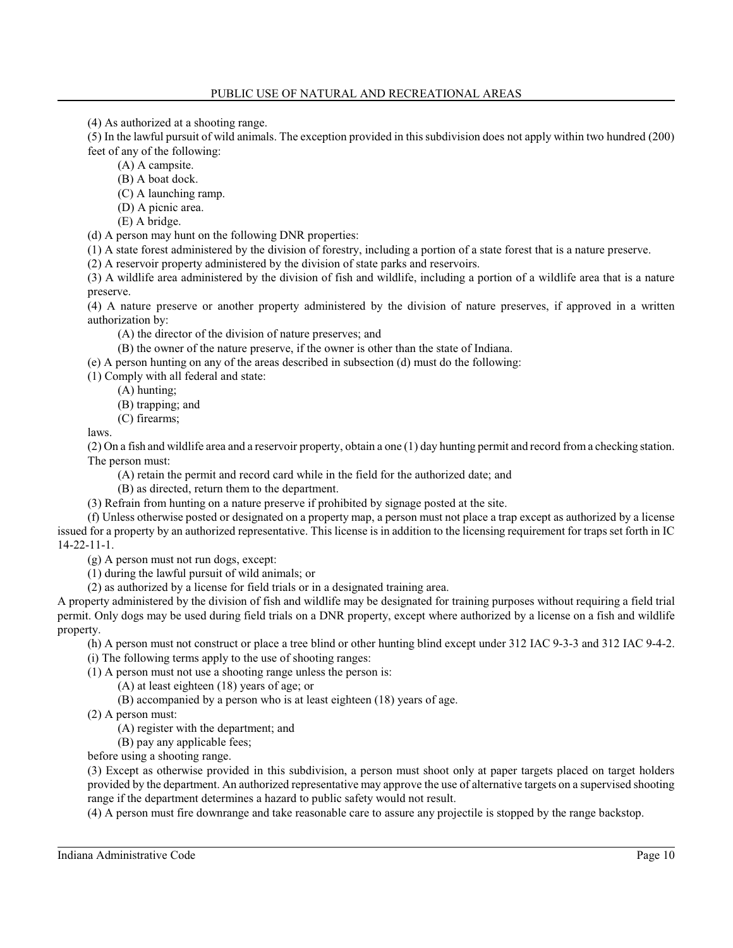(4) As authorized at a shooting range.

(5) In the lawful pursuit of wild animals. The exception provided in thissubdivision does not apply within two hundred (200) feet of any of the following:

- (A) A campsite.
- (B) A boat dock.
- (C) A launching ramp.
- (D) A picnic area.
- (E) A bridge.

(d) A person may hunt on the following DNR properties:

(1) A state forest administered by the division of forestry, including a portion of a state forest that is a nature preserve.

(2) A reservoir property administered by the division of state parks and reservoirs.

(3) A wildlife area administered by the division of fish and wildlife, including a portion of a wildlife area that is a nature preserve.

(4) A nature preserve or another property administered by the division of nature preserves, if approved in a written authorization by:

(A) the director of the division of nature preserves; and

(B) the owner of the nature preserve, if the owner is other than the state of Indiana.

(e) A person hunting on any of the areas described in subsection (d) must do the following:

(1) Comply with all federal and state:

- (A) hunting;
	- (B) trapping; and
- (C) firearms;

laws.

(2) On a fish and wildlife area and a reservoir property, obtain a one (1) day hunting permit and record froma checking station. The person must:

(A) retain the permit and record card while in the field for the authorized date; and

(B) as directed, return them to the department.

(3) Refrain from hunting on a nature preserve if prohibited by signage posted at the site.

(f) Unless otherwise posted or designated on a property map, a person must not place a trap except as authorized by a license issued for a property by an authorized representative. This license is in addition to the licensing requirement for traps set forth in IC 14-22-11-1.

(g) A person must not run dogs, except:

(1) during the lawful pursuit of wild animals; or

(2) as authorized by a license for field trials or in a designated training area.

A property administered by the division of fish and wildlife may be designated for training purposes without requiring a field trial permit. Only dogs may be used during field trials on a DNR property, except where authorized by a license on a fish and wildlife property.

(h) A person must not construct or place a tree blind or other hunting blind except under 312 IAC 9-3-3 and 312 IAC 9-4-2.

(i) The following terms apply to the use of shooting ranges:

(1) A person must not use a shooting range unless the person is:

(A) at least eighteen (18) years of age; or

(B) accompanied by a person who is at least eighteen (18) years of age.

(2) A person must:

(A) register with the department; and

(B) pay any applicable fees;

before using a shooting range.

(3) Except as otherwise provided in this subdivision, a person must shoot only at paper targets placed on target holders provided by the department. An authorized representative may approve the use of alternative targets on a supervised shooting range if the department determines a hazard to public safety would not result.

(4) A person must fire downrange and take reasonable care to assure any projectile is stopped by the range backstop.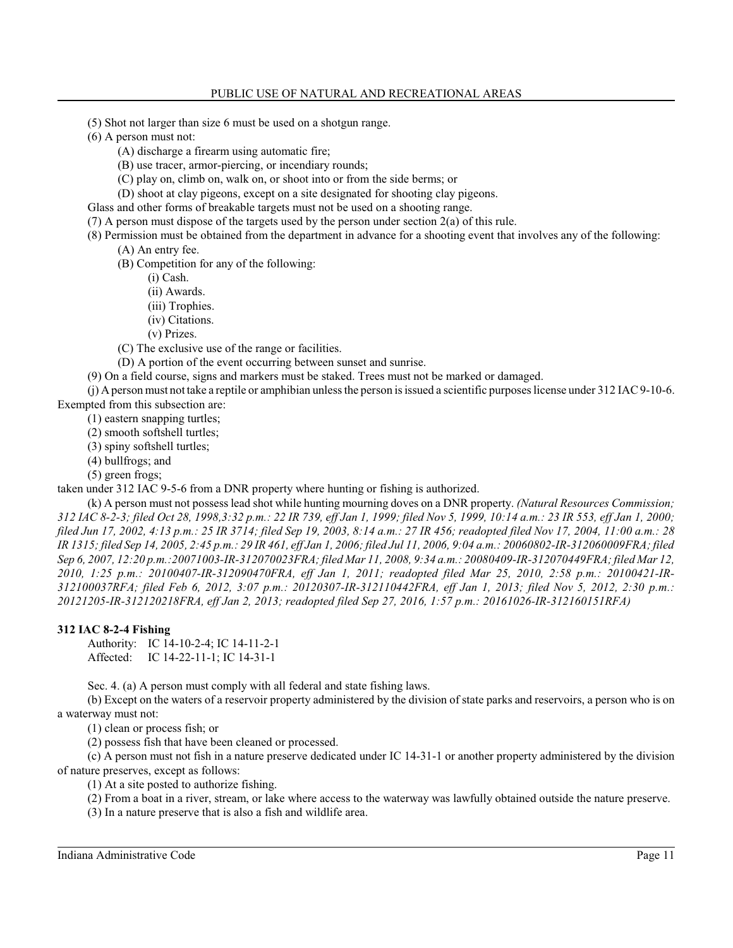(5) Shot not larger than size 6 must be used on a shotgun range.

(6) A person must not:

(A) discharge a firearm using automatic fire;

(B) use tracer, armor-piercing, or incendiary rounds;

(C) play on, climb on, walk on, or shoot into or from the side berms; or

(D) shoot at clay pigeons, except on a site designated for shooting clay pigeons.

Glass and other forms of breakable targets must not be used on a shooting range.

(7) A person must dispose of the targets used by the person under section 2(a) of this rule.

(8) Permission must be obtained from the department in advance for a shooting event that involves any of the following: (A) An entry fee.

(B) Competition for any of the following:

(i) Cash.

(ii) Awards.

(iii) Trophies.

(iv) Citations.

(v) Prizes.

(C) The exclusive use of the range or facilities.

(D) A portion of the event occurring between sunset and sunrise.

(9) On a field course, signs and markers must be staked. Trees must not be marked or damaged.

(j) A person must not take a reptile or amphibian unless the person is issued a scientific purposes license under 312 IAC9-10-6. Exempted from this subsection are:

(1) eastern snapping turtles;

(2) smooth softshell turtles;

(3) spiny softshell turtles;

(4) bullfrogs; and

(5) green frogs;

taken under 312 IAC 9-5-6 from a DNR property where hunting or fishing is authorized.

(k) A person must not possesslead shot while hunting mourning doves on a DNR property. *(Natural Resources Commission; 312 IAC 8-2-3; filed Oct 28, 1998,3:32 p.m.: 22 IR 739, eff Jan 1, 1999; filed Nov 5, 1999, 10:14 a.m.: 23 IR 553, eff Jan 1, 2000; filed Jun 17, 2002, 4:13 p.m.: 25 IR 3714; filed Sep 19, 2003, 8:14 a.m.: 27 IR 456; readopted filed Nov 17, 2004, 11:00 a.m.: 28 IR 1315; filed Sep 14, 2005, 2:45 p.m.: 29 IR 461, eff Jan 1, 2006; filed Jul 11, 2006, 9:04 a.m.: 20060802-IR-312060009FRA; filed Sep 6, 2007, 12:20 p.m.:20071003-IR-312070023FRA; filed Mar 11, 2008, 9:34 a.m.: 20080409-IR-312070449FRA; filed Mar 12, 2010, 1:25 p.m.: 20100407-IR-312090470FRA, eff Jan 1, 2011; readopted filed Mar 25, 2010, 2:58 p.m.: 20100421-IR-312100037RFA; filed Feb 6, 2012, 3:07 p.m.: 20120307-IR-312110442FRA, eff Jan 1, 2013; filed Nov 5, 2012, 2:30 p.m.: 20121205-IR-312120218FRA, eff Jan 2, 2013; readopted filed Sep 27, 2016, 1:57 p.m.: 20161026-IR-312160151RFA)*

### **312 IAC 8-2-4 Fishing**

Authority: IC 14-10-2-4; IC 14-11-2-1 Affected: IC 14-22-11-1; IC 14-31-1

Sec. 4. (a) A person must comply with all federal and state fishing laws.

(b) Except on the waters of a reservoir property administered by the division of state parks and reservoirs, a person who is on a waterway must not:

(1) clean or process fish; or

(2) possess fish that have been cleaned or processed.

(c) A person must not fish in a nature preserve dedicated under IC 14-31-1 or another property administered by the division of nature preserves, except as follows:

(1) At a site posted to authorize fishing.

(2) From a boat in a river, stream, or lake where access to the waterway was lawfully obtained outside the nature preserve.

(3) In a nature preserve that is also a fish and wildlife area.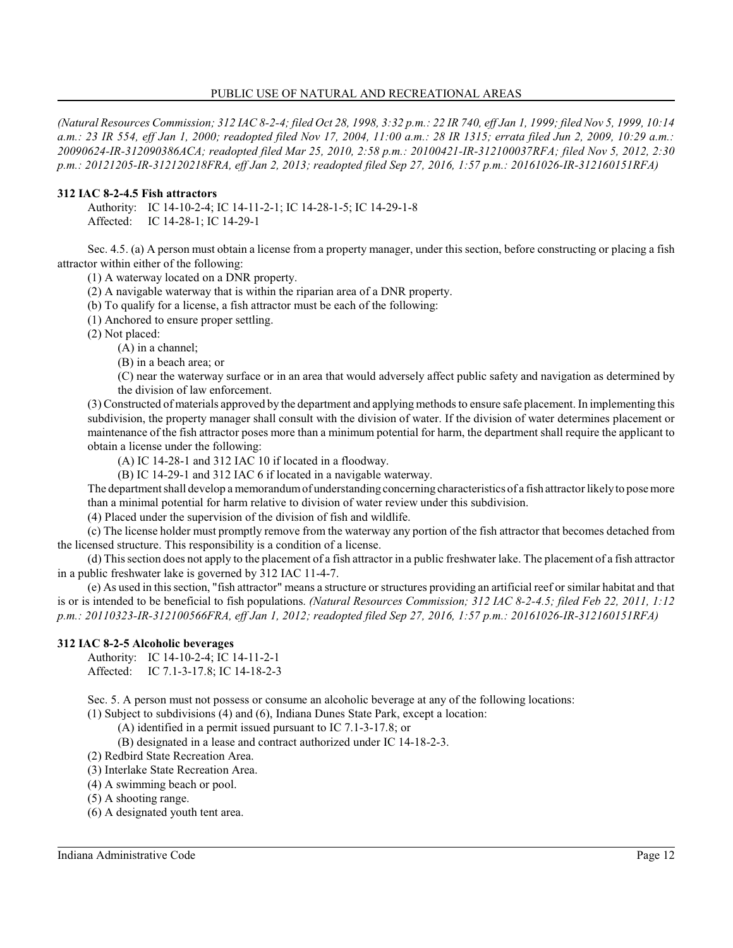*(Natural Resources Commission; 312 IAC 8-2-4; filed Oct 28, 1998, 3:32 p.m.: 22 IR 740, eff Jan 1, 1999; filed Nov 5, 1999, 10:14 a.m.: 23 IR 554, eff Jan 1, 2000; readopted filed Nov 17, 2004, 11:00 a.m.: 28 IR 1315; errata filed Jun 2, 2009, 10:29 a.m.: 20090624-IR-312090386ACA; readopted filed Mar 25, 2010, 2:58 p.m.: 20100421-IR-312100037RFA; filed Nov 5, 2012, 2:30 p.m.: 20121205-IR-312120218FRA, eff Jan 2, 2013; readopted filed Sep 27, 2016, 1:57 p.m.: 20161026-IR-312160151RFA)*

#### **312 IAC 8-2-4.5 Fish attractors**

Authority: IC 14-10-2-4; IC 14-11-2-1; IC 14-28-1-5; IC 14-29-1-8 Affected: IC 14-28-1; IC 14-29-1

Sec. 4.5. (a) A person must obtain a license from a property manager, under this section, before constructing or placing a fish attractor within either of the following:

(1) A waterway located on a DNR property.

(2) A navigable waterway that is within the riparian area of a DNR property.

(b) To qualify for a license, a fish attractor must be each of the following:

(1) Anchored to ensure proper settling.

(2) Not placed:

(A) in a channel;

(B) in a beach area; or

(C) near the waterway surface or in an area that would adversely affect public safety and navigation as determined by the division of law enforcement.

(3) Constructed of materials approved by the department and applying methods to ensure safe placement. In implementing this subdivision, the property manager shall consult with the division of water. If the division of water determines placement or maintenance of the fish attractor poses more than a minimum potential for harm, the department shall require the applicant to obtain a license under the following:

(A) IC 14-28-1 and 312 IAC 10 if located in a floodway.

(B) IC 14-29-1 and 312 IAC 6 if located in a navigable waterway.

The department shall develop a memorandum of understanding concerning characteristics of a fish attractor likely to pose more than a minimal potential for harm relative to division of water review under this subdivision.

(4) Placed under the supervision of the division of fish and wildlife.

(c) The license holder must promptly remove from the waterway any portion of the fish attractor that becomes detached from the licensed structure. This responsibility is a condition of a license.

(d) Thissection does not apply to the placement of a fish attractor in a public freshwater lake. The placement of a fish attractor in a public freshwater lake is governed by 312 IAC 11-4-7.

(e) As used in thissection, "fish attractor" means a structure or structures providing an artificial reef or similar habitat and that is or is intended to be beneficial to fish populations. *(Natural Resources Commission; 312 IAC 8-2-4.5; filed Feb 22, 2011, 1:12 p.m.: 20110323-IR-312100566FRA, eff Jan 1, 2012; readopted filed Sep 27, 2016, 1:57 p.m.: 20161026-IR-312160151RFA)*

### **312 IAC 8-2-5 Alcoholic beverages**

Authority: IC 14-10-2-4; IC 14-11-2-1 Affected: IC 7.1-3-17.8; IC 14-18-2-3

Sec. 5. A person must not possess or consume an alcoholic beverage at any of the following locations:

(1) Subject to subdivisions (4) and (6), Indiana Dunes State Park, except a location:

(A) identified in a permit issued pursuant to IC 7.1-3-17.8; or

(B) designated in a lease and contract authorized under IC 14-18-2-3.

(2) Redbird State Recreation Area.

(3) Interlake State Recreation Area.

(4) A swimming beach or pool.

(5) A shooting range.

(6) A designated youth tent area.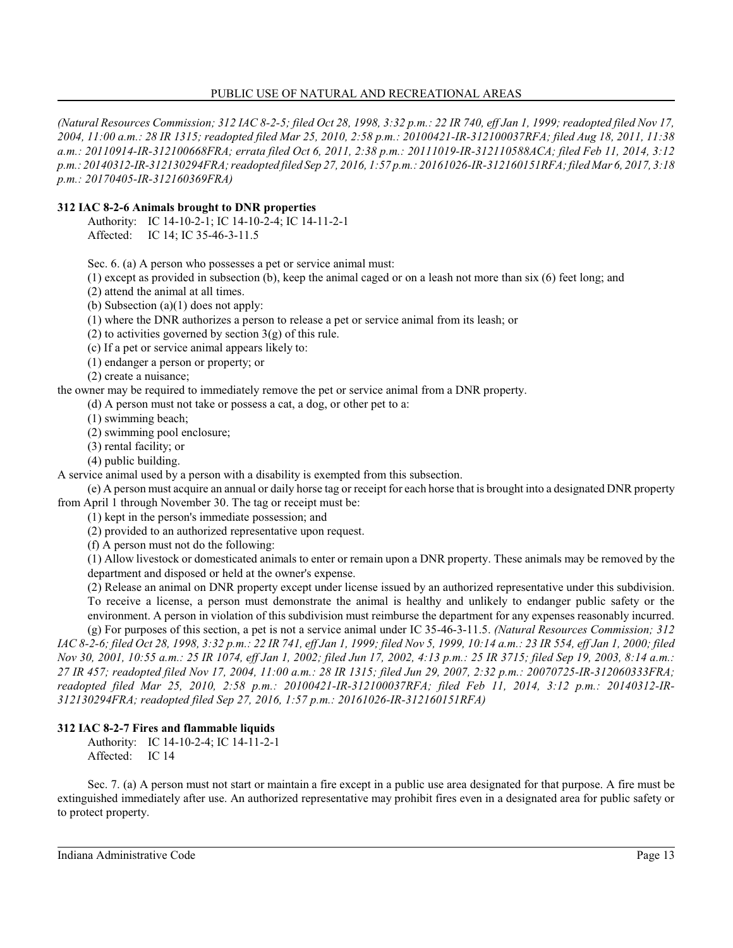*(Natural Resources Commission; 312 IAC 8-2-5; filed Oct 28, 1998, 3:32 p.m.: 22 IR 740, eff Jan 1, 1999; readopted filed Nov 17, 2004, 11:00 a.m.: 28 IR 1315; readopted filed Mar 25, 2010, 2:58 p.m.: 20100421-IR-312100037RFA; filed Aug 18, 2011, 11:38 a.m.: 20110914-IR-312100668FRA; errata filed Oct 6, 2011, 2:38 p.m.: 20111019-IR-312110588ACA; filed Feb 11, 2014, 3:12 p.m.: 20140312-IR-312130294FRA; readopted filed Sep 27, 2016, 1:57 p.m.: 20161026-IR-312160151RFA; filed Mar 6, 2017, 3:18 p.m.: 20170405-IR-312160369FRA)*

### **312 IAC 8-2-6 Animals brought to DNR properties**

Authority: IC 14-10-2-1; IC 14-10-2-4; IC 14-11-2-1

Affected: IC 14; IC 35-46-3-11.5

Sec. 6. (a) A person who possesses a pet or service animal must:

(1) except as provided in subsection (b), keep the animal caged or on a leash not more than six (6) feet long; and

(2) attend the animal at all times.

(b) Subsection (a)(1) does not apply:

(1) where the DNR authorizes a person to release a pet or service animal from its leash; or

(2) to activities governed by section  $3(g)$  of this rule.

(c) If a pet or service animal appears likely to:

(1) endanger a person or property; or

(2) create a nuisance;

the owner may be required to immediately remove the pet or service animal from a DNR property.

(d) A person must not take or possess a cat, a dog, or other pet to a:

(1) swimming beach;

(2) swimming pool enclosure;

(3) rental facility; or

(4) public building.

A service animal used by a person with a disability is exempted from this subsection.

(e) A person must acquire an annual or daily horse tag or receipt for each horse that is brought into a designated DNR property from April 1 through November 30. The tag or receipt must be:

(1) kept in the person's immediate possession; and

(2) provided to an authorized representative upon request.

(f) A person must not do the following:

(1) Allow livestock or domesticated animals to enter or remain upon a DNR property. These animals may be removed by the department and disposed or held at the owner's expense.

(2) Release an animal on DNR property except under license issued by an authorized representative under this subdivision. To receive a license, a person must demonstrate the animal is healthy and unlikely to endanger public safety or the environment. A person in violation of this subdivision must reimburse the department for any expenses reasonably incurred.

(g) For purposes of this section, a pet is not a service animal under IC 35-46-3-11.5. *(Natural Resources Commission; 312 IAC 8-2-6; filed Oct 28, 1998, 3:32 p.m.: 22 IR 741, eff Jan 1, 1999; filed Nov 5, 1999, 10:14 a.m.: 23 IR 554, eff Jan 1, 2000; filed Nov 30, 2001, 10:55 a.m.: 25 IR 1074, eff Jan 1, 2002; filed Jun 17, 2002, 4:13 p.m.: 25 IR 3715; filed Sep 19, 2003, 8:14 a.m.: 27 IR 457; readopted filed Nov 17, 2004, 11:00 a.m.: 28 IR 1315; filed Jun 29, 2007, 2:32 p.m.: 20070725-IR-312060333FRA; readopted filed Mar 25, 2010, 2:58 p.m.: 20100421-IR-312100037RFA; filed Feb 11, 2014, 3:12 p.m.: 20140312-IR-312130294FRA; readopted filed Sep 27, 2016, 1:57 p.m.: 20161026-IR-312160151RFA)*

#### **312 IAC 8-2-7 Fires and flammable liquids**

Authority: IC 14-10-2-4; IC 14-11-2-1 Affected: IC 14

Sec. 7. (a) A person must not start or maintain a fire except in a public use area designated for that purpose. A fire must be extinguished immediately after use. An authorized representative may prohibit fires even in a designated area for public safety or to protect property.

Indiana Administrative Code Page 13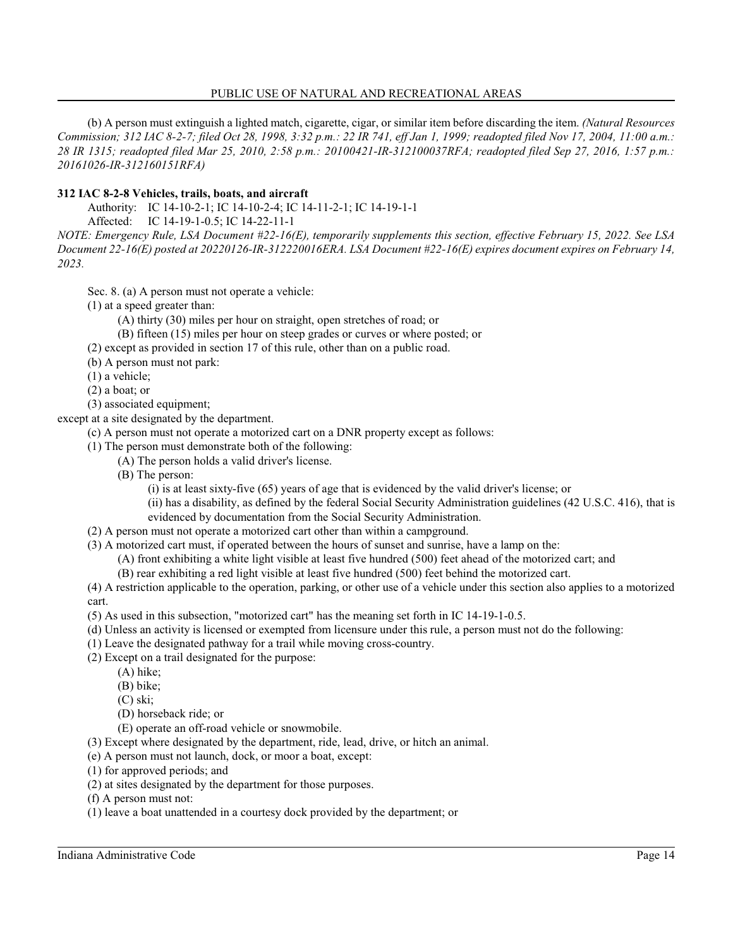(b) A person must extinguish a lighted match, cigarette, cigar, or similar item before discarding the item. *(Natural Resources Commission; 312 IAC 8-2-7; filed Oct 28, 1998, 3:32 p.m.: 22 IR 741, eff Jan 1, 1999; readopted filed Nov 17, 2004, 11:00 a.m.: 28 IR 1315; readopted filed Mar 25, 2010, 2:58 p.m.: 20100421-IR-312100037RFA; readopted filed Sep 27, 2016, 1:57 p.m.: 20161026-IR-312160151RFA)*

### **312 IAC 8-2-8 Vehicles, trails, boats, and aircraft**

Authority: IC 14-10-2-1; IC 14-10-2-4; IC 14-11-2-1; IC 14-19-1-1

Affected: IC 14-19-1-0.5; IC 14-22-11-1

*NOTE: Emergency Rule, LSA Document #22-16(E), temporarily supplements this section, effective February 15, 2022. See LSA Document 22-16(E) posted at 20220126-IR-312220016ERA. LSA Document #22-16(E) expires document expires on February 14, 2023.*

Sec. 8. (a) A person must not operate a vehicle:

(1) at a speed greater than:

(A) thirty (30) miles per hour on straight, open stretches of road; or

- (B) fifteen (15) miles per hour on steep grades or curves or where posted; or
- (2) except as provided in section 17 of this rule, other than on a public road.
- (b) A person must not park:
- (1) a vehicle;
- (2) a boat; or
- (3) associated equipment;

except at a site designated by the department.

(c) A person must not operate a motorized cart on a DNR property except as follows:

- (1) The person must demonstrate both of the following:
	- (A) The person holds a valid driver's license.
	- (B) The person:

(i) is at least sixty-five (65) years of age that is evidenced by the valid driver's license; or

(ii) has a disability, as defined by the federal Social Security Administration guidelines (42 U.S.C. 416), that is evidenced by documentation from the Social Security Administration.

- (2) A person must not operate a motorized cart other than within a campground.
- (3) A motorized cart must, if operated between the hours of sunset and sunrise, have a lamp on the:
	- (A) front exhibiting a white light visible at least five hundred (500) feet ahead of the motorized cart; and (B) rear exhibiting a red light visible at least five hundred (500) feet behind the motorized cart.

(4) A restriction applicable to the operation, parking, or other use of a vehicle under this section also applies to a motorized cart.

(5) As used in this subsection, "motorized cart" has the meaning set forth in IC 14-19-1-0.5.

- (d) Unless an activity is licensed or exempted from licensure under this rule, a person must not do the following:
- (1) Leave the designated pathway for a trail while moving cross-country.
- (2) Except on a trail designated for the purpose:
	- (A) hike;
	- (B) bike;
	- (C) ski;
	- (D) horseback ride; or
	- (E) operate an off-road vehicle or snowmobile.
- (3) Except where designated by the department, ride, lead, drive, or hitch an animal.
- (e) A person must not launch, dock, or moor a boat, except:
- (1) for approved periods; and
- (2) at sites designated by the department for those purposes.
- (f) A person must not:
- (1) leave a boat unattended in a courtesy dock provided by the department; or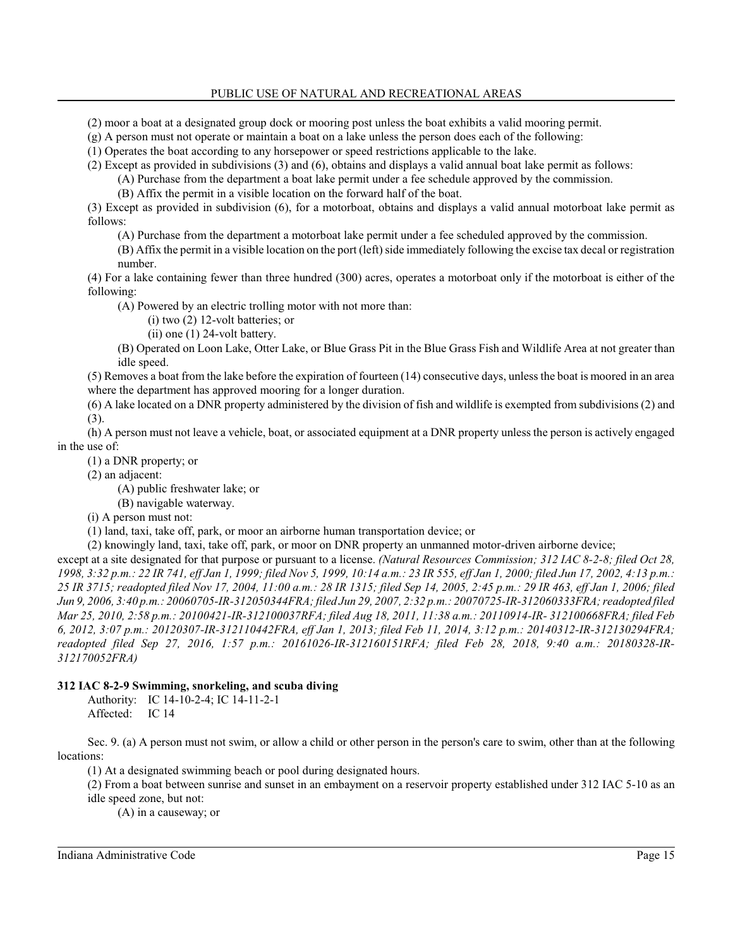- (2) moor a boat at a designated group dock or mooring post unless the boat exhibits a valid mooring permit.
- (g) A person must not operate or maintain a boat on a lake unless the person does each of the following:

(1) Operates the boat according to any horsepower or speed restrictions applicable to the lake.

(2) Except as provided in subdivisions (3) and (6), obtains and displays a valid annual boat lake permit as follows:

(A) Purchase from the department a boat lake permit under a fee schedule approved by the commission.

(B) Affix the permit in a visible location on the forward half of the boat.

(3) Except as provided in subdivision (6), for a motorboat, obtains and displays a valid annual motorboat lake permit as follows:

(A) Purchase from the department a motorboat lake permit under a fee scheduled approved by the commission.

(B) Affix the permit in a visible location on the port (left) side immediately following the excise tax decal or registration number.

(4) For a lake containing fewer than three hundred (300) acres, operates a motorboat only if the motorboat is either of the following:

(A) Powered by an electric trolling motor with not more than:

(i) two (2) 12-volt batteries; or

(ii) one (1) 24-volt battery.

(B) Operated on Loon Lake, Otter Lake, or Blue Grass Pit in the Blue Grass Fish and Wildlife Area at not greater than idle speed.

(5) Removes a boat from the lake before the expiration of fourteen (14) consecutive days, unless the boat is moored in an area where the department has approved mooring for a longer duration.

(6) A lake located on a DNR property administered by the division of fish and wildlife is exempted from subdivisions(2) and (3).

(h) A person must not leave a vehicle, boat, or associated equipment at a DNR property unless the person is actively engaged in the use of:

(1) a DNR property; or

(2) an adjacent:

(A) public freshwater lake; or

(B) navigable waterway.

(i) A person must not:

(1) land, taxi, take off, park, or moor an airborne human transportation device; or

(2) knowingly land, taxi, take off, park, or moor on DNR property an unmanned motor-driven airborne device;

except at a site designated for that purpose or pursuant to a license. *(Natural Resources Commission; 312 IAC 8-2-8; filed Oct 28, 1998, 3:32 p.m.: 22 IR 741, eff Jan 1, 1999; filed Nov 5, 1999, 10:14 a.m.: 23 IR 555, eff Jan 1, 2000; filed Jun 17, 2002, 4:13 p.m.: 25 IR 3715; readopted filed Nov 17, 2004, 11:00 a.m.: 28 IR 1315; filed Sep 14, 2005, 2:45 p.m.: 29 IR 463, eff Jan 1, 2006; filed Jun 9, 2006, 3:40 p.m.: 20060705-IR-312050344FRA; filed Jun 29, 2007, 2:32 p.m.: 20070725-IR-312060333FRA; readopted filed Mar 25, 2010, 2:58 p.m.: 20100421-IR-312100037RFA; filed Aug 18, 2011, 11:38 a.m.: 20110914-IR- 312100668FRA; filed Feb 6, 2012, 3:07 p.m.: 20120307-IR-312110442FRA, eff Jan 1, 2013; filed Feb 11, 2014, 3:12 p.m.: 20140312-IR-312130294FRA; readopted filed Sep 27, 2016, 1:57 p.m.: 20161026-IR-312160151RFA; filed Feb 28, 2018, 9:40 a.m.: 20180328-IR-312170052FRA)*

# **312 IAC 8-2-9 Swimming, snorkeling, and scuba diving**

Authority: IC 14-10-2-4; IC 14-11-2-1 Affected: IC 14

Sec. 9. (a) A person must not swim, or allow a child or other person in the person's care to swim, other than at the following locations:

(1) At a designated swimming beach or pool during designated hours.

(2) From a boat between sunrise and sunset in an embayment on a reservoir property established under 312 IAC 5-10 as an idle speed zone, but not:

(A) in a causeway; or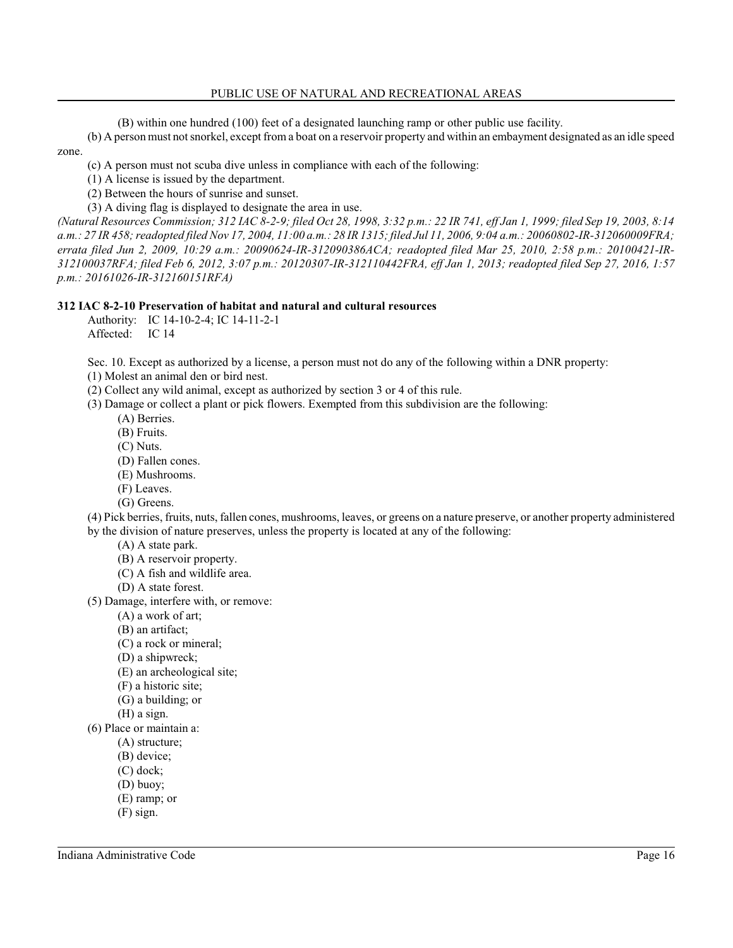(B) within one hundred (100) feet of a designated launching ramp or other public use facility.

(b) A person must not snorkel, except from a boat on a reservoir property and within an embayment designated as an idle speed zone.

(c) A person must not scuba dive unless in compliance with each of the following:

(1) A license is issued by the department.

(2) Between the hours of sunrise and sunset.

(3) A diving flag is displayed to designate the area in use.

*(Natural Resources Commission; 312 IAC 8-2-9; filed Oct 28, 1998, 3:32 p.m.: 22 IR 741, eff Jan 1, 1999; filed Sep 19, 2003, 8:14 a.m.: 27 IR 458;readopted filed Nov 17, 2004, 11:00 a.m.: 28 IR 1315; filed Jul 11, 2006, 9:04 a.m.: 20060802-IR-312060009FRA; errata filed Jun 2, 2009, 10:29 a.m.: 20090624-IR-312090386ACA; readopted filed Mar 25, 2010, 2:58 p.m.: 20100421-IR-312100037RFA; filed Feb 6, 2012, 3:07 p.m.: 20120307-IR-312110442FRA, eff Jan 1, 2013; readopted filed Sep 27, 2016, 1:57 p.m.: 20161026-IR-312160151RFA)*

#### **312 IAC 8-2-10 Preservation of habitat and natural and cultural resources**

Authority: IC 14-10-2-4; IC 14-11-2-1 Affected: IC 14

Sec. 10. Except as authorized by a license, a person must not do any of the following within a DNR property: (1) Molest an animal den or bird nest.

(2) Collect any wild animal, except as authorized by section 3 or 4 of this rule.

(3) Damage or collect a plant or pick flowers. Exempted from this subdivision are the following:

- (A) Berries.
- (B) Fruits.
- (C) Nuts.
- (D) Fallen cones.
- (E) Mushrooms.
- (F) Leaves.
- (G) Greens.

(4) Pick berries, fruits, nuts, fallen cones, mushrooms, leaves, or greens on a nature preserve, or another property administered by the division of nature preserves, unless the property is located at any of the following:

- (A) A state park.
- (B) A reservoir property.
- (C) A fish and wildlife area.
- (D) A state forest.

(5) Damage, interfere with, or remove:

- (A) a work of art;
- (B) an artifact;
- (C) a rock or mineral;
- (D) a shipwreck;
- (E) an archeological site;
- (F) a historic site;
- (G) a building; or
- (H) a sign.
- (6) Place or maintain a:
	- (A) structure;
	- (B) device;
	- (C) dock;
	- (D) buoy;
	- (E) ramp; or
	- (F) sign.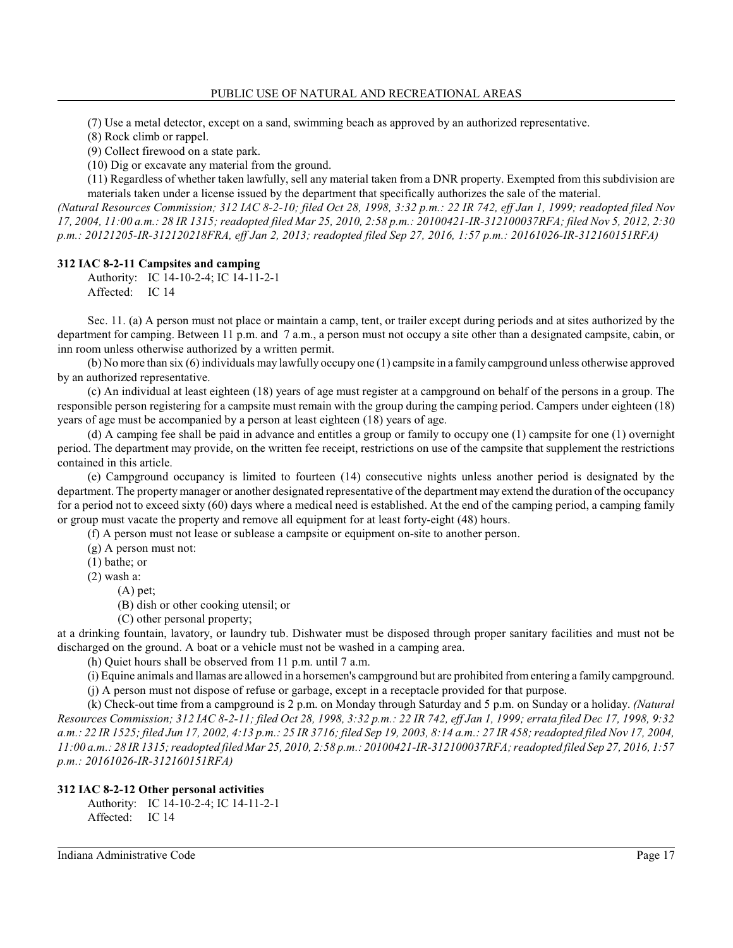(7) Use a metal detector, except on a sand, swimming beach as approved by an authorized representative.

(8) Rock climb or rappel.

(9) Collect firewood on a state park.

(10) Dig or excavate any material from the ground.

(11) Regardless of whether taken lawfully, sell any material taken from a DNR property. Exempted from this subdivision are materials taken under a license issued by the department that specifically authorizes the sale of the material.

*(Natural Resources Commission; 312 IAC 8-2-10; filed Oct 28, 1998, 3:32 p.m.: 22 IR 742, eff Jan 1, 1999; readopted filed Nov 17, 2004, 11:00 a.m.: 28 IR 1315; readopted filed Mar 25, 2010, 2:58 p.m.: 20100421-IR-312100037RFA; filed Nov 5, 2012, 2:30 p.m.: 20121205-IR-312120218FRA, eff Jan 2, 2013; readopted filed Sep 27, 2016, 1:57 p.m.: 20161026-IR-312160151RFA)*

#### **312 IAC 8-2-11 Campsites and camping**

Authority: IC 14-10-2-4; IC 14-11-2-1 Affected: IC 14

Sec. 11. (a) A person must not place or maintain a camp, tent, or trailer except during periods and at sites authorized by the department for camping. Between 11 p.m. and 7 a.m., a person must not occupy a site other than a designated campsite, cabin, or inn room unless otherwise authorized by a written permit.

(b) No more than six (6) individuals may lawfully occupy one (1) campsite in a family campground unless otherwise approved by an authorized representative.

(c) An individual at least eighteen (18) years of age must register at a campground on behalf of the persons in a group. The responsible person registering for a campsite must remain with the group during the camping period. Campers under eighteen (18) years of age must be accompanied by a person at least eighteen (18) years of age.

(d) A camping fee shall be paid in advance and entitles a group or family to occupy one (1) campsite for one (1) overnight period. The department may provide, on the written fee receipt, restrictions on use of the campsite that supplement the restrictions contained in this article.

(e) Campground occupancy is limited to fourteen (14) consecutive nights unless another period is designated by the department. The property manager or another designated representative of the department may extend the duration of the occupancy for a period not to exceed sixty (60) days where a medical need is established. At the end of the camping period, a camping family or group must vacate the property and remove all equipment for at least forty-eight (48) hours.

(f) A person must not lease or sublease a campsite or equipment on-site to another person.

- (g) A person must not:
- (1) bathe; or
- (2) wash a:
	- (A) pet;
	- (B) dish or other cooking utensil; or
	- (C) other personal property;

at a drinking fountain, lavatory, or laundry tub. Dishwater must be disposed through proper sanitary facilities and must not be discharged on the ground. A boat or a vehicle must not be washed in a camping area.

(h) Quiet hours shall be observed from 11 p.m. until 7 a.m.

(i) Equine animals and llamas are allowed in a horsemen's campground but are prohibited fromentering a family campground.

(j) A person must not dispose of refuse or garbage, except in a receptacle provided for that purpose.

(k) Check-out time from a campground is 2 p.m. on Monday through Saturday and 5 p.m. on Sunday or a holiday. *(Natural Resources Commission; 312 IAC 8-2-11; filed Oct 28, 1998, 3:32 p.m.: 22 IR 742, eff Jan 1, 1999; errata filed Dec 17, 1998, 9:32 a.m.: 22 IR 1525; filed Jun 17, 2002, 4:13 p.m.: 25 IR 3716; filed Sep 19, 2003, 8:14 a.m.: 27 IR 458;readopted filed Nov 17, 2004, 11:00 a.m.: 28 IR 1315; readopted filed Mar 25, 2010, 2:58 p.m.: 20100421-IR-312100037RFA; readopted filed Sep 27, 2016, 1:57 p.m.: 20161026-IR-312160151RFA)*

#### **312 IAC 8-2-12 Other personal activities**

Authority: IC 14-10-2-4; IC 14-11-2-1 Affected: IC 14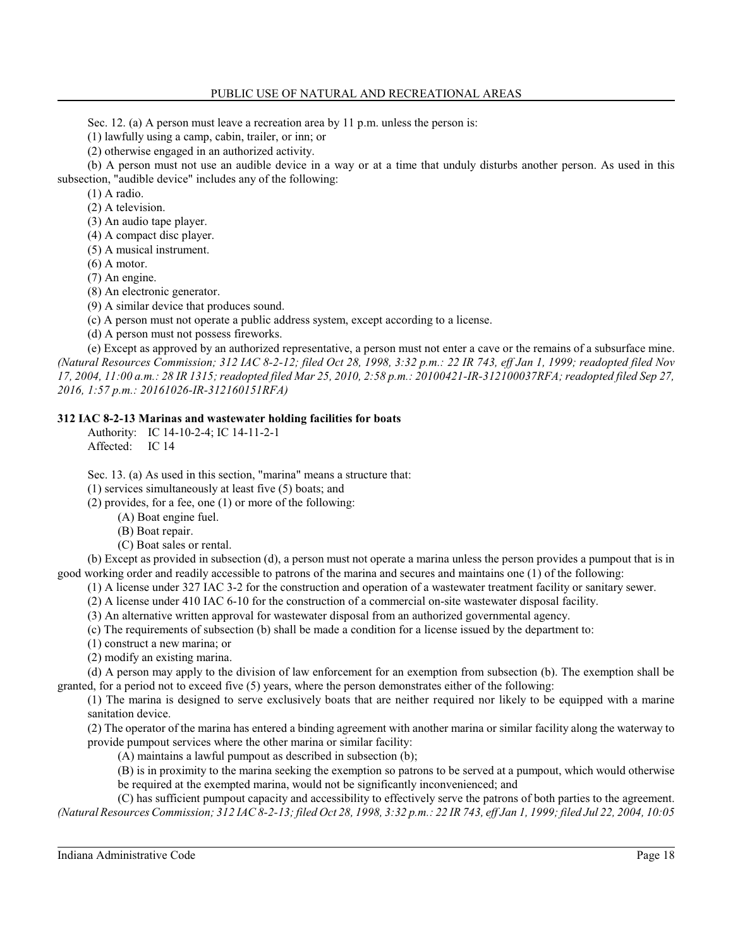Sec. 12. (a) A person must leave a recreation area by 11 p.m. unless the person is:

(1) lawfully using a camp, cabin, trailer, or inn; or

(2) otherwise engaged in an authorized activity.

(b) A person must not use an audible device in a way or at a time that unduly disturbs another person. As used in this subsection, "audible device" includes any of the following:

(1) A radio.

(2) A television.

(3) An audio tape player.

(4) A compact disc player.

(5) A musical instrument.

(6) A motor.

(7) An engine.

(8) An electronic generator.

(9) A similar device that produces sound.

(c) A person must not operate a public address system, except according to a license.

(d) A person must not possess fireworks.

(e) Except as approved by an authorized representative, a person must not enter a cave or the remains of a subsurface mine. *(Natural Resources Commission; 312 IAC 8-2-12; filed Oct 28, 1998, 3:32 p.m.: 22 IR 743, eff Jan 1, 1999; readopted filed Nov 17, 2004, 11:00 a.m.: 28 IR 1315; readopted filed Mar 25, 2010, 2:58 p.m.: 20100421-IR-312100037RFA; readopted filed Sep 27, 2016, 1:57 p.m.: 20161026-IR-312160151RFA)*

#### **312 IAC 8-2-13 Marinas and wastewater holding facilities for boats**

Authority: IC 14-10-2-4; IC 14-11-2-1 Affected: IC 14

Sec. 13. (a) As used in this section, "marina" means a structure that:

(1) services simultaneously at least five (5) boats; and

(2) provides, for a fee, one (1) or more of the following:

(A) Boat engine fuel.

(B) Boat repair.

(C) Boat sales or rental.

(b) Except as provided in subsection (d), a person must not operate a marina unless the person provides a pumpout that is in good working order and readily accessible to patrons of the marina and secures and maintains one (1) of the following:

(1) A license under 327 IAC 3-2 for the construction and operation of a wastewater treatment facility or sanitary sewer.

(2) A license under 410 IAC 6-10 for the construction of a commercial on-site wastewater disposal facility.

(3) An alternative written approval for wastewater disposal from an authorized governmental agency.

(c) The requirements of subsection (b) shall be made a condition for a license issued by the department to:

(1) construct a new marina; or

(2) modify an existing marina.

(d) A person may apply to the division of law enforcement for an exemption from subsection (b). The exemption shall be granted, for a period not to exceed five (5) years, where the person demonstrates either of the following:

(1) The marina is designed to serve exclusively boats that are neither required nor likely to be equipped with a marine sanitation device.

(2) The operator of the marina has entered a binding agreement with another marina or similar facility along the waterway to provide pumpout services where the other marina or similar facility:

(A) maintains a lawful pumpout as described in subsection (b);

(B) is in proximity to the marina seeking the exemption so patrons to be served at a pumpout, which would otherwise be required at the exempted marina, would not be significantly inconvenienced; and

(C) has sufficient pumpout capacity and accessibility to effectively serve the patrons of both parties to the agreement. *(Natural Resources Commission; 312 IAC 8-2-13; filed Oct 28, 1998, 3:32 p.m.: 22 IR 743, eff Jan 1, 1999; filed Jul 22, 2004, 10:05*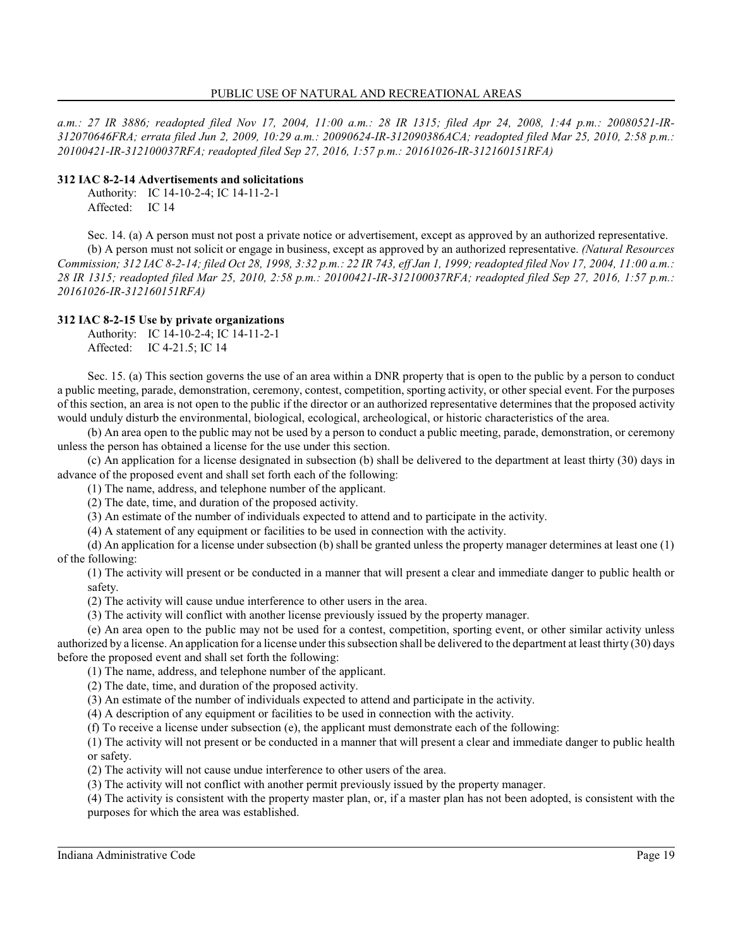*a.m.: 27 IR 3886; readopted filed Nov 17, 2004, 11:00 a.m.: 28 IR 1315; filed Apr 24, 2008, 1:44 p.m.: 20080521-IR-312070646FRA; errata filed Jun 2, 2009, 10:29 a.m.: 20090624-IR-312090386ACA; readopted filed Mar 25, 2010, 2:58 p.m.: 20100421-IR-312100037RFA; readopted filed Sep 27, 2016, 1:57 p.m.: 20161026-IR-312160151RFA)*

### **312 IAC 8-2-14 Advertisements and solicitations**

Authority: IC 14-10-2-4; IC 14-11-2-1 Affected: IC 14

Sec. 14. (a) A person must not post a private notice or advertisement, except as approved by an authorized representative.

(b) A person must not solicit or engage in business, except as approved by an authorized representative. *(Natural Resources Commission; 312 IAC 8-2-14; filed Oct 28, 1998, 3:32 p.m.: 22 IR 743, eff Jan 1, 1999; readopted filed Nov 17, 2004, 11:00 a.m.: 28 IR 1315; readopted filed Mar 25, 2010, 2:58 p.m.: 20100421-IR-312100037RFA; readopted filed Sep 27, 2016, 1:57 p.m.: 20161026-IR-312160151RFA)*

# **312 IAC 8-2-15 Use by private organizations**

Authority: IC 14-10-2-4; IC 14-11-2-1

Affected: IC 4-21.5; IC 14

Sec. 15. (a) This section governs the use of an area within a DNR property that is open to the public by a person to conduct a public meeting, parade, demonstration, ceremony, contest, competition, sporting activity, or other special event. For the purposes of this section, an area is not open to the public if the director or an authorized representative determines that the proposed activity would unduly disturb the environmental, biological, ecological, archeological, or historic characteristics of the area.

(b) An area open to the public may not be used by a person to conduct a public meeting, parade, demonstration, or ceremony unless the person has obtained a license for the use under this section.

(c) An application for a license designated in subsection (b) shall be delivered to the department at least thirty (30) days in advance of the proposed event and shall set forth each of the following:

(1) The name, address, and telephone number of the applicant.

(2) The date, time, and duration of the proposed activity.

(3) An estimate of the number of individuals expected to attend and to participate in the activity.

(4) A statement of any equipment or facilities to be used in connection with the activity.

(d) An application for a license under subsection (b) shall be granted unless the property manager determines at least one (1) of the following:

(1) The activity will present or be conducted in a manner that will present a clear and immediate danger to public health or safety.

(2) The activity will cause undue interference to other users in the area.

(3) The activity will conflict with another license previously issued by the property manager.

(e) An area open to the public may not be used for a contest, competition, sporting event, or other similar activity unless authorized by a license. An application for a license under thissubsection shall be delivered to the department at least thirty (30) days before the proposed event and shall set forth the following:

(1) The name, address, and telephone number of the applicant.

(2) The date, time, and duration of the proposed activity.

(3) An estimate of the number of individuals expected to attend and participate in the activity.

(4) A description of any equipment or facilities to be used in connection with the activity.

(f) To receive a license under subsection (e), the applicant must demonstrate each of the following:

(1) The activity will not present or be conducted in a manner that will present a clear and immediate danger to public health or safety.

(2) The activity will not cause undue interference to other users of the area.

(3) The activity will not conflict with another permit previously issued by the property manager.

(4) The activity is consistent with the property master plan, or, if a master plan has not been adopted, is consistent with the purposes for which the area was established.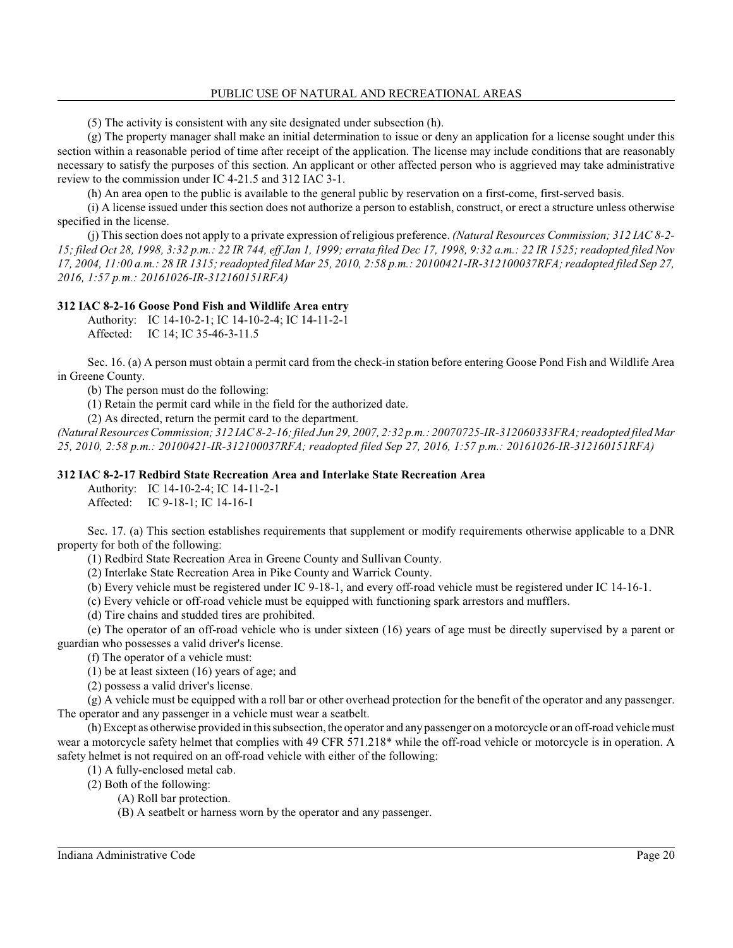(5) The activity is consistent with any site designated under subsection (h).

(g) The property manager shall make an initial determination to issue or deny an application for a license sought under this section within a reasonable period of time after receipt of the application. The license may include conditions that are reasonably necessary to satisfy the purposes of this section. An applicant or other affected person who is aggrieved may take administrative review to the commission under IC 4-21.5 and 312 IAC 3-1.

(h) An area open to the public is available to the general public by reservation on a first-come, first-served basis.

(i) A license issued under this section does not authorize a person to establish, construct, or erect a structure unless otherwise specified in the license.

(j) Thissection does not apply to a private expression of religious preference. *(Natural Resources Commission; 312 IAC 8-2- 15; filed Oct 28, 1998, 3:32 p.m.: 22 IR 744, eff Jan 1, 1999; errata filed Dec 17, 1998, 9:32 a.m.: 22 IR 1525; readopted filed Nov 17, 2004, 11:00 a.m.: 28 IR 1315; readopted filed Mar 25, 2010, 2:58 p.m.: 20100421-IR-312100037RFA; readopted filed Sep 27, 2016, 1:57 p.m.: 20161026-IR-312160151RFA)*

# **312 IAC 8-2-16 Goose Pond Fish and Wildlife Area entry**

Authority: IC 14-10-2-1; IC 14-10-2-4; IC 14-11-2-1 Affected: IC 14; IC 35-46-3-11.5

Sec. 16. (a) A person must obtain a permit card from the check-in station before entering Goose Pond Fish and Wildlife Area in Greene County.

(b) The person must do the following:

(1) Retain the permit card while in the field for the authorized date.

(2) As directed, return the permit card to the department.

*(Natural Resources Commission; 312 IAC 8-2-16; filed Jun 29, 2007, 2:32 p.m.: 20070725-IR-312060333FRA; readopted filed Mar 25, 2010, 2:58 p.m.: 20100421-IR-312100037RFA; readopted filed Sep 27, 2016, 1:57 p.m.: 20161026-IR-312160151RFA)*

# **312 IAC 8-2-17 Redbird State Recreation Area and Interlake State Recreation Area**

Authority: IC 14-10-2-4; IC 14-11-2-1

Affected: IC 9-18-1; IC 14-16-1

Sec. 17. (a) This section establishes requirements that supplement or modify requirements otherwise applicable to a DNR property for both of the following:

(1) Redbird State Recreation Area in Greene County and Sullivan County.

(2) Interlake State Recreation Area in Pike County and Warrick County.

(b) Every vehicle must be registered under IC 9-18-1, and every off-road vehicle must be registered under IC 14-16-1.

(c) Every vehicle or off-road vehicle must be equipped with functioning spark arrestors and mufflers.

(d) Tire chains and studded tires are prohibited.

(e) The operator of an off-road vehicle who is under sixteen (16) years of age must be directly supervised by a parent or guardian who possesses a valid driver's license.

(f) The operator of a vehicle must:

(1) be at least sixteen (16) years of age; and

(2) possess a valid driver's license.

(g) A vehicle must be equipped with a roll bar or other overhead protection for the benefit of the operator and any passenger. The operator and any passenger in a vehicle must wear a seatbelt.

(h) Except as otherwise provided in thissubsection, the operator and any passenger on a motorcycle or an off-road vehicle must wear a motorcycle safety helmet that complies with 49 CFR 571.218\* while the off-road vehicle or motorcycle is in operation. A safety helmet is not required on an off-road vehicle with either of the following:

(1) A fully-enclosed metal cab.

(2) Both of the following:

(A) Roll bar protection.

(B) A seatbelt or harness worn by the operator and any passenger.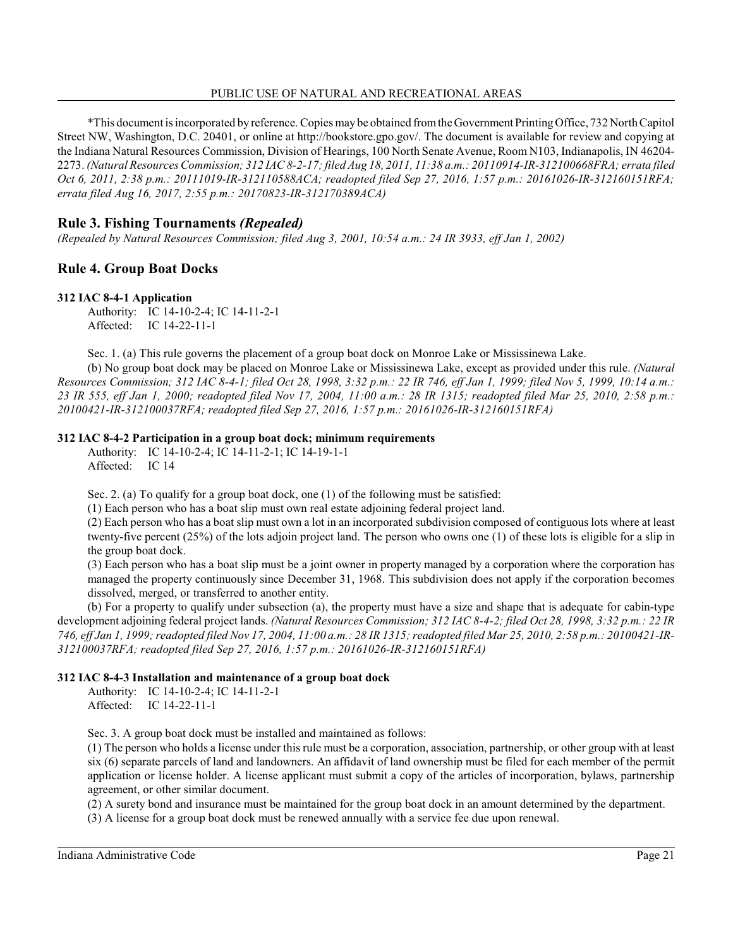\*This document is incorporated by reference. Copies may be obtained fromthe Government Printing Office, 732 North Capitol Street NW, Washington, D.C. 20401, or online at http://bookstore.gpo.gov/. The document is available for review and copying at the Indiana Natural Resources Commission, Division of Hearings, 100 North Senate Avenue, Room N103, Indianapolis, IN 46204- 2273. *(Natural Resources Commission; 312 IAC 8-2-17; filed Aug 18, 2011, 11:38 a.m.: 20110914-IR-312100668FRA; errata filed Oct 6, 2011, 2:38 p.m.: 20111019-IR-312110588ACA; readopted filed Sep 27, 2016, 1:57 p.m.: 20161026-IR-312160151RFA; errata filed Aug 16, 2017, 2:55 p.m.: 20170823-IR-312170389ACA)*

# **Rule 3. Fishing Tournaments** *(Repealed)*

*(Repealed by Natural Resources Commission; filed Aug 3, 2001, 10:54 a.m.: 24 IR 3933, eff Jan 1, 2002)*

# **Rule 4. Group Boat Docks**

#### **312 IAC 8-4-1 Application**

Authority: IC 14-10-2-4; IC 14-11-2-1 Affected: IC 14-22-11-1

Sec. 1. (a) This rule governs the placement of a group boat dock on Monroe Lake or Mississinewa Lake.

(b) No group boat dock may be placed on Monroe Lake or Mississinewa Lake, except as provided under this rule. *(Natural Resources Commission; 312 IAC 8-4-1; filed Oct 28, 1998, 3:32 p.m.: 22 IR 746, eff Jan 1, 1999; filed Nov 5, 1999, 10:14 a.m.: 23 IR 555, eff Jan 1, 2000; readopted filed Nov 17, 2004, 11:00 a.m.: 28 IR 1315; readopted filed Mar 25, 2010, 2:58 p.m.: 20100421-IR-312100037RFA; readopted filed Sep 27, 2016, 1:57 p.m.: 20161026-IR-312160151RFA)*

### **312 IAC 8-4-2 Participation in a group boat dock; minimum requirements**

Authority: IC 14-10-2-4; IC 14-11-2-1; IC 14-19-1-1 Affected: IC 14

Sec. 2. (a) To qualify for a group boat dock, one (1) of the following must be satisfied:

(1) Each person who has a boat slip must own real estate adjoining federal project land.

(2) Each person who has a boat slip must own a lot in an incorporated subdivision composed of contiguous lots where at least twenty-five percent (25%) of the lots adjoin project land. The person who owns one (1) of these lots is eligible for a slip in the group boat dock.

(3) Each person who has a boat slip must be a joint owner in property managed by a corporation where the corporation has managed the property continuously since December 31, 1968. This subdivision does not apply if the corporation becomes dissolved, merged, or transferred to another entity.

(b) For a property to qualify under subsection (a), the property must have a size and shape that is adequate for cabin-type development adjoining federal project lands. *(Natural Resources Commission; 312 IAC 8-4-2; filed Oct 28, 1998, 3:32 p.m.: 22 IR 746, eff Jan 1, 1999; readopted filed Nov 17, 2004, 11:00 a.m.: 28 IR 1315; readopted filed Mar 25, 2010, 2:58 p.m.: 20100421-IR-312100037RFA; readopted filed Sep 27, 2016, 1:57 p.m.: 20161026-IR-312160151RFA)*

### **312 IAC 8-4-3 Installation and maintenance of a group boat dock**

Authority: IC 14-10-2-4; IC 14-11-2-1 Affected: IC 14-22-11-1

Sec. 3. A group boat dock must be installed and maintained as follows:

(1) The person who holds a license under thisrule must be a corporation, association, partnership, or other group with at least six (6) separate parcels of land and landowners. An affidavit of land ownership must be filed for each member of the permit application or license holder. A license applicant must submit a copy of the articles of incorporation, bylaws, partnership agreement, or other similar document.

(2) A surety bond and insurance must be maintained for the group boat dock in an amount determined by the department.

(3) A license for a group boat dock must be renewed annually with a service fee due upon renewal.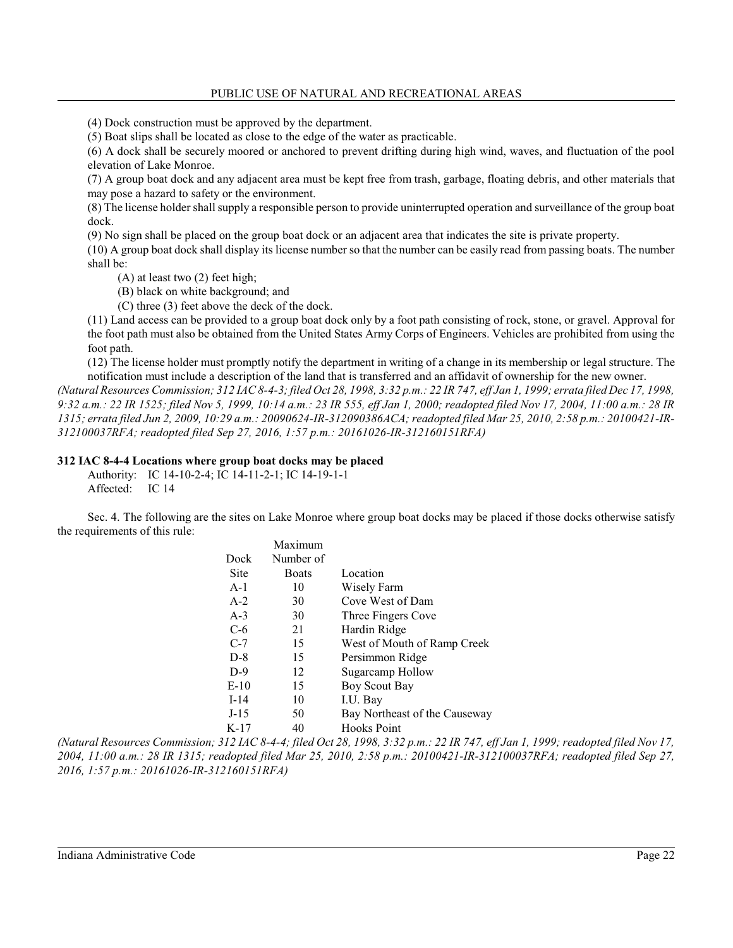(4) Dock construction must be approved by the department.

(5) Boat slips shall be located as close to the edge of the water as practicable.

(6) A dock shall be securely moored or anchored to prevent drifting during high wind, waves, and fluctuation of the pool elevation of Lake Monroe.

(7) A group boat dock and any adjacent area must be kept free from trash, garbage, floating debris, and other materials that may pose a hazard to safety or the environment.

(8) The license holder shall supply a responsible person to provide uninterrupted operation and surveillance of the group boat dock.

(9) No sign shall be placed on the group boat dock or an adjacent area that indicates the site is private property.

(10) A group boat dock shall display its license number so that the number can be easily read from passing boats. The number shall be:

(A) at least two (2) feet high;

(B) black on white background; and

(C) three (3) feet above the deck of the dock.

(11) Land access can be provided to a group boat dock only by a foot path consisting of rock, stone, or gravel. Approval for the foot path must also be obtained from the United States Army Corps of Engineers. Vehicles are prohibited from using the foot path.

(12) The license holder must promptly notify the department in writing of a change in its membership or legal structure. The notification must include a description of the land that is transferred and an affidavit of ownership for the new owner.

*(Natural Resources Commission; 312 IAC 8-4-3; filed Oct 28, 1998, 3:32 p.m.: 22 IR 747, eff Jan 1, 1999; errata filed Dec 17, 1998, 9:32 a.m.: 22 IR 1525; filed Nov 5, 1999, 10:14 a.m.: 23 IR 555, eff Jan 1, 2000; readopted filed Nov 17, 2004, 11:00 a.m.: 28 IR 1315; errata filed Jun 2, 2009, 10:29 a.m.: 20090624-IR-312090386ACA; readopted filed Mar 25, 2010, 2:58 p.m.: 20100421-IR-312100037RFA; readopted filed Sep 27, 2016, 1:57 p.m.: 20161026-IR-312160151RFA)*

#### **312 IAC 8-4-4 Locations where group boat docks may be placed**

Authority: IC 14-10-2-4; IC 14-11-2-1; IC 14-19-1-1 Affected: IC 14

Sec. 4. The following are the sites on Lake Monroe where group boat docks may be placed if those docks otherwise satisfy the requirements of this rule:

|        | Maximum   |                               |
|--------|-----------|-------------------------------|
| Dock   | Number of |                               |
| Site   | Boats     | Location                      |
| $A-1$  | 10        | Wisely Farm                   |
| $A-2$  | 30        | Cove West of Dam              |
| $A-3$  | 30        | Three Fingers Cove            |
| $C-6$  | 21        | Hardin Ridge                  |
| $C-7$  | 15        | West of Mouth of Ramp Creek   |
| $D-8$  | 15        | Persimmon Ridge               |
| $D-9$  | 12        | <b>Sugarcamp Hollow</b>       |
| $E-10$ | 15        | Boy Scout Bay                 |
| $I-14$ | 10        | I.U. Bay                      |
| $J-15$ | 50        | Bay Northeast of the Causeway |
| K-17   | 40        | <b>Hooks Point</b>            |

*(Natural Resources Commission; 312 IAC 8-4-4; filed Oct 28, 1998, 3:32 p.m.: 22 IR 747, eff Jan 1, 1999; readopted filed Nov 17, 2004, 11:00 a.m.: 28 IR 1315; readopted filed Mar 25, 2010, 2:58 p.m.: 20100421-IR-312100037RFA; readopted filed Sep 27, 2016, 1:57 p.m.: 20161026-IR-312160151RFA)*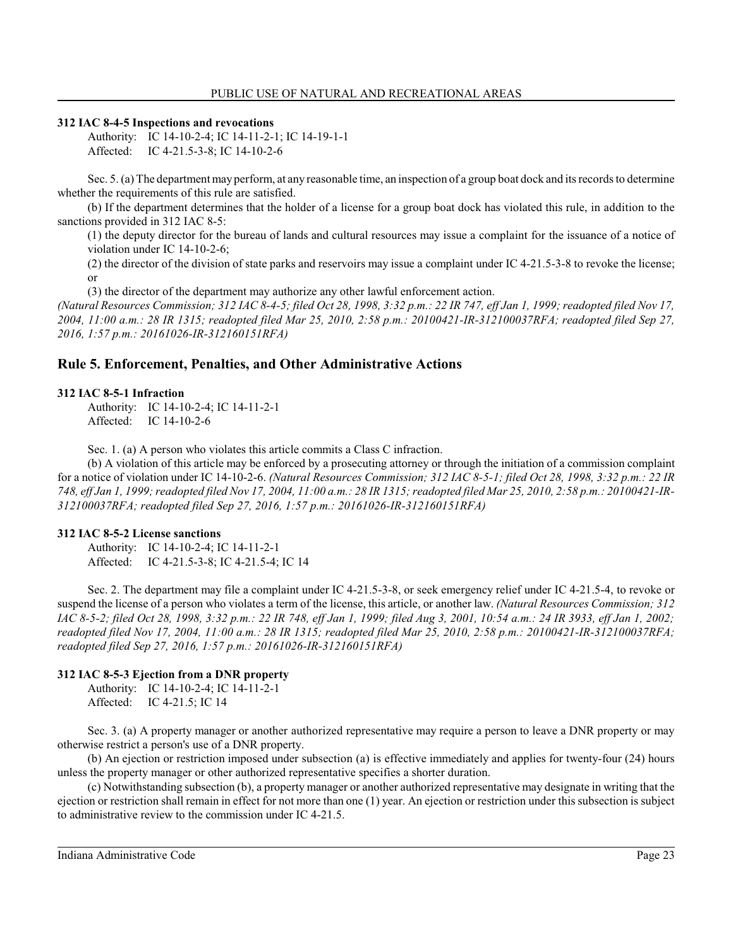#### **312 IAC 8-4-5 Inspections and revocations**

Authority: IC 14-10-2-4; IC 14-11-2-1; IC 14-19-1-1 Affected: IC 4-21.5-3-8; IC 14-10-2-6

Sec. 5. (a) The department may perform, at any reasonable time, an inspection of a group boat dock and its records to determine whether the requirements of this rule are satisfied.

(b) If the department determines that the holder of a license for a group boat dock has violated this rule, in addition to the sanctions provided in 312 IAC 8-5:

(1) the deputy director for the bureau of lands and cultural resources may issue a complaint for the issuance of a notice of violation under IC 14-10-2-6;

(2) the director of the division of state parks and reservoirs may issue a complaint under IC 4-21.5-3-8 to revoke the license; or

(3) the director of the department may authorize any other lawful enforcement action.

*(Natural Resources Commission; 312 IAC 8-4-5; filed Oct 28, 1998, 3:32 p.m.: 22 IR 747, eff Jan 1, 1999; readopted filed Nov 17, 2004, 11:00 a.m.: 28 IR 1315; readopted filed Mar 25, 2010, 2:58 p.m.: 20100421-IR-312100037RFA; readopted filed Sep 27, 2016, 1:57 p.m.: 20161026-IR-312160151RFA)*

# **Rule 5. Enforcement, Penalties, and Other Administrative Actions**

#### **312 IAC 8-5-1 Infraction**

Authority: IC 14-10-2-4; IC 14-11-2-1 Affected: IC 14-10-2-6

Sec. 1. (a) A person who violates this article commits a Class C infraction.

(b) A violation of this article may be enforced by a prosecuting attorney or through the initiation of a commission complaint for a notice of violation under IC 14-10-2-6. *(Natural Resources Commission; 312 IAC 8-5-1; filed Oct 28, 1998, 3:32 p.m.: 22 IR 748, eff Jan 1, 1999; readopted filed Nov 17, 2004, 11:00 a.m.: 28 IR 1315; readopted filed Mar 25, 2010, 2:58 p.m.: 20100421-IR-312100037RFA; readopted filed Sep 27, 2016, 1:57 p.m.: 20161026-IR-312160151RFA)*

#### **312 IAC 8-5-2 License sanctions**

Authority: IC 14-10-2-4; IC 14-11-2-1 Affected: IC 4-21.5-3-8; IC 4-21.5-4; IC 14

Sec. 2. The department may file a complaint under IC 4-21.5-3-8, or seek emergency relief under IC 4-21.5-4, to revoke or suspend the license of a person who violates a term of the license, this article, or another law. *(Natural Resources Commission; 312 IAC 8-5-2; filed Oct 28, 1998, 3:32 p.m.: 22 IR 748, eff Jan 1, 1999; filed Aug 3, 2001, 10:54 a.m.: 24 IR 3933, eff Jan 1, 2002; readopted filed Nov 17, 2004, 11:00 a.m.: 28 IR 1315; readopted filed Mar 25, 2010, 2:58 p.m.: 20100421-IR-312100037RFA; readopted filed Sep 27, 2016, 1:57 p.m.: 20161026-IR-312160151RFA)*

### **312 IAC 8-5-3 Ejection from a DNR property**

Authority: IC 14-10-2-4; IC 14-11-2-1 Affected: IC 4-21.5; IC 14

Sec. 3. (a) A property manager or another authorized representative may require a person to leave a DNR property or may otherwise restrict a person's use of a DNR property.

(b) An ejection or restriction imposed under subsection (a) is effective immediately and applies for twenty-four (24) hours unless the property manager or other authorized representative specifies a shorter duration.

(c) Notwithstanding subsection (b), a property manager or another authorized representative may designate in writing that the ejection or restriction shall remain in effect for not more than one (1) year. An ejection or restriction under thissubsection is subject to administrative review to the commission under IC 4-21.5.